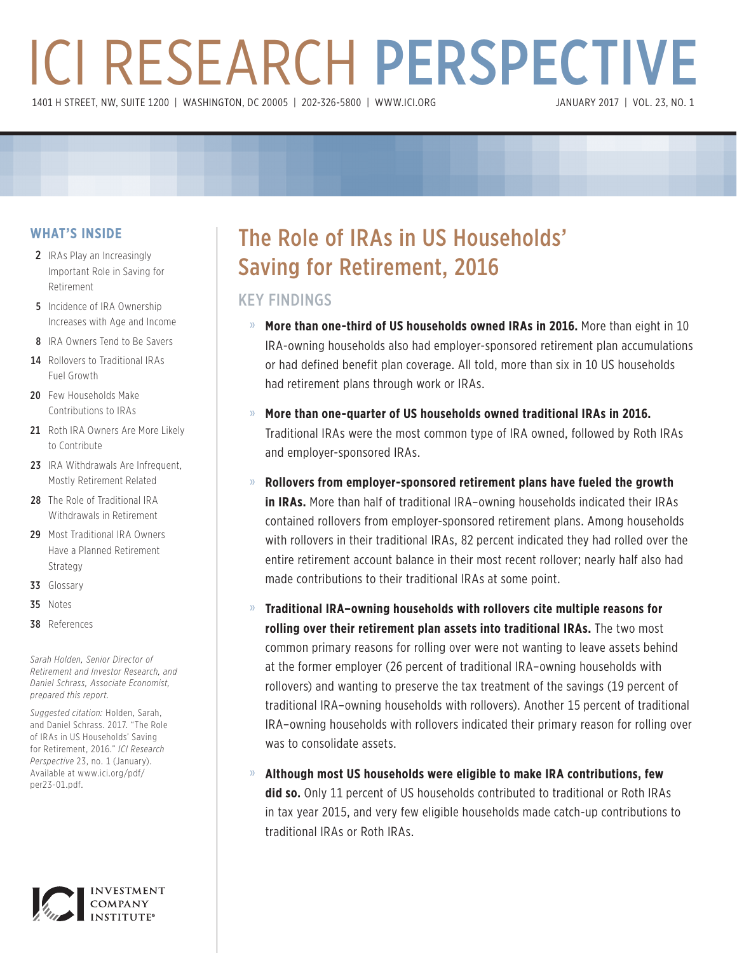# ICI RESEARCH PERSPECTIVE 1401 H STREET, NW, SUITE 1200 | WASHINGTON, DC 20005 | 202-326-5800 | WWW.ICI.ORG

#### **WHAT'S INSIDE**

- 2 IRAs Play an Increasingly Important Role in Saving for Retirement
- **5** Incidence of IRA Ownership Increases with Age and Income
- 8 IRA Owners Tend to Be Savers
- 14 Rollovers to Traditional IRAs Fuel Growth
- 20 Few Households Make Contributions to IRAs
- 21 Roth IRA Owners Are More Likely to Contribute
- 23 IRA Withdrawals Are Infrequent, Mostly Retirement Related
- 28 The Role of Traditional IRA Withdrawals in Retirement
- 29 Most Traditional IRA Owners Have a Planned Retirement Strategy
- 33 Glossary
- 35 Notes
- 38 References

*Sarah Holden, Senior Director of Retirement and Investor Research, and Daniel Schrass, Associate Economist, prepared this report.*

*Suggested citation:* Holden, Sarah, and Daniel Schrass. 2017. "The Role of IRAs in US Households' Saving for Retirement, 2016." *ICI Research Perspective* 23, no. 1 (January). Available at www.ici.org/pdf/ per23-01.pdf.



## The Role of IRAs in US Households' Saving for Retirement, 2016

## KEY FINDINGS

- » **More than one-third of US households owned IRAs in 2016.** More than eight in 10 IRA-owning households also had employer-sponsored retirement plan accumulations or had defined benefit plan coverage. All told, more than six in 10 US households had retirement plans through work or IRAs.
- » **More than one-quarter of US households owned traditional IRAs in 2016.**  Traditional IRAs were the most common type of IRA owned, followed by Roth IRAs and employer-sponsored IRAs.
- » **Rollovers from employer-sponsored retirement plans have fueled the growth in IRAs.** More than half of traditional IRA–owning households indicated their IRAs contained rollovers from employer-sponsored retirement plans. Among households with rollovers in their traditional IRAs, 82 percent indicated they had rolled over the entire retirement account balance in their most recent rollover; nearly half also had made contributions to their traditional IRAs at some point.
- » **Traditional IRA–owning households with rollovers cite multiple reasons for rolling over their retirement plan assets into traditional IRAs.** The two most common primary reasons for rolling over were not wanting to leave assets behind at the former employer (26 percent of traditional IRA–owning households with rollovers) and wanting to preserve the tax treatment of the savings (19 percent of traditional IRA–owning households with rollovers). Another 15 percent of traditional IRA–owning households with rollovers indicated their primary reason for rolling over was to consolidate assets.
- » **Although most US households were eligible to make IRA contributions, few did so.** Only 11 percent of US households contributed to traditional or Roth IRAs in tax year 2015, and very few eligible households made catch-up contributions to traditional IRAs or Roth IRAs.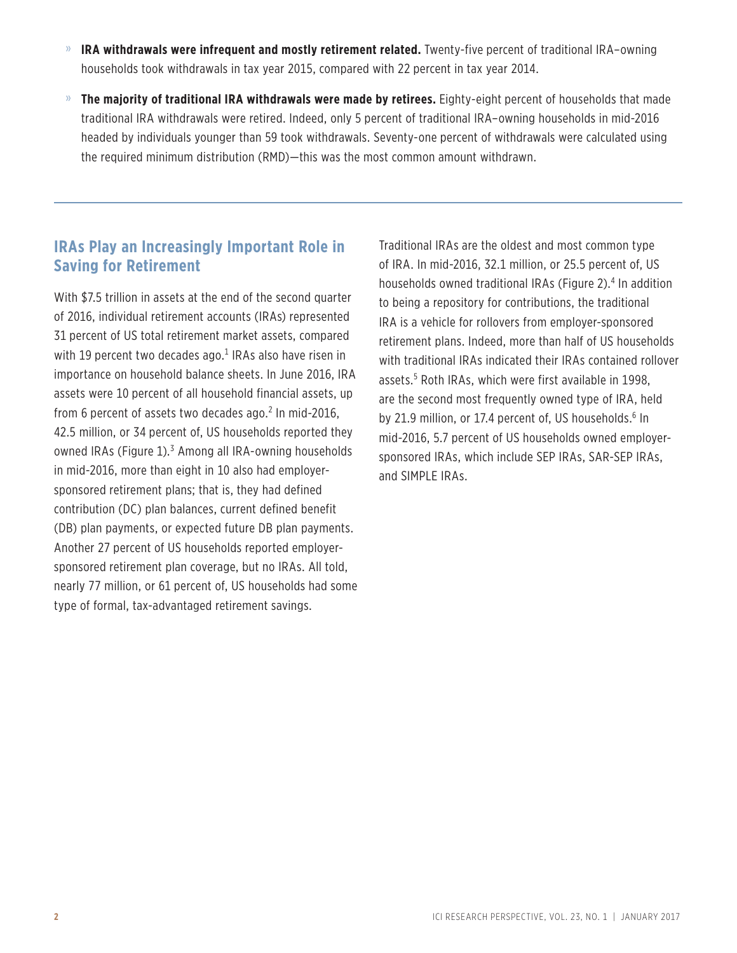- » **IRA withdrawals were infrequent and mostly retirement related.** Twenty-five percent of traditional IRA–owning households took withdrawals in tax year 2015, compared with 22 percent in tax year 2014.
- » **The majority of traditional IRA withdrawals were made by retirees.** Eighty-eight percent of households that made traditional IRA withdrawals were retired. Indeed, only 5 percent of traditional IRA–owning households in mid-2016 headed by individuals younger than 59 took withdrawals. Seventy-one percent of withdrawals were calculated using the required minimum distribution (RMD)—this was the most common amount withdrawn.

## **IRAs Play an Increasingly Important Role in Saving for Retirement**

With \$7.5 trillion in assets at the end of the second quarter of 2016, individual retirement accounts (IRAs) represented 31 percent of US total retirement market assets, compared with 19 percent two decades ago.<sup>1</sup> IRAs also have risen in importance on household balance sheets. In June 2016, IRA assets were 10 percent of all household financial assets, up from 6 percent of assets two decades ago.<sup>2</sup> In mid-2016, 42.5 million, or 34 percent of, US households reported they owned IRAs (Figure 1).<sup>3</sup> Among all IRA-owning households in mid-2016, more than eight in 10 also had employersponsored retirement plans; that is, they had defined contribution (DC) plan balances, current defined benefit (DB) plan payments, or expected future DB plan payments. Another 27 percent of US households reported employersponsored retirement plan coverage, but no IRAs. All told, nearly 77 million, or 61 percent of, US households had some type of formal, tax-advantaged retirement savings.

Traditional IRAs are the oldest and most common type of IRA. In mid-2016, 32.1 million, or 25.5 percent of, US households owned traditional IRAs (Figure 2).<sup>4</sup> In addition to being a repository for contributions, the traditional IRA is a vehicle for rollovers from employer-sponsored retirement plans. Indeed, more than half of US households with traditional IRAs indicated their IRAs contained rollover assets.5 Roth IRAs, which were first available in 1998, are the second most frequently owned type of IRA, held by 21.9 million, or 17.4 percent of, US households.<sup>6</sup> In mid-2016, 5.7 percent of US households owned employersponsored IRAs, which include SEP IRAs, SAR-SEP IRAs, and SIMPLE IRAs.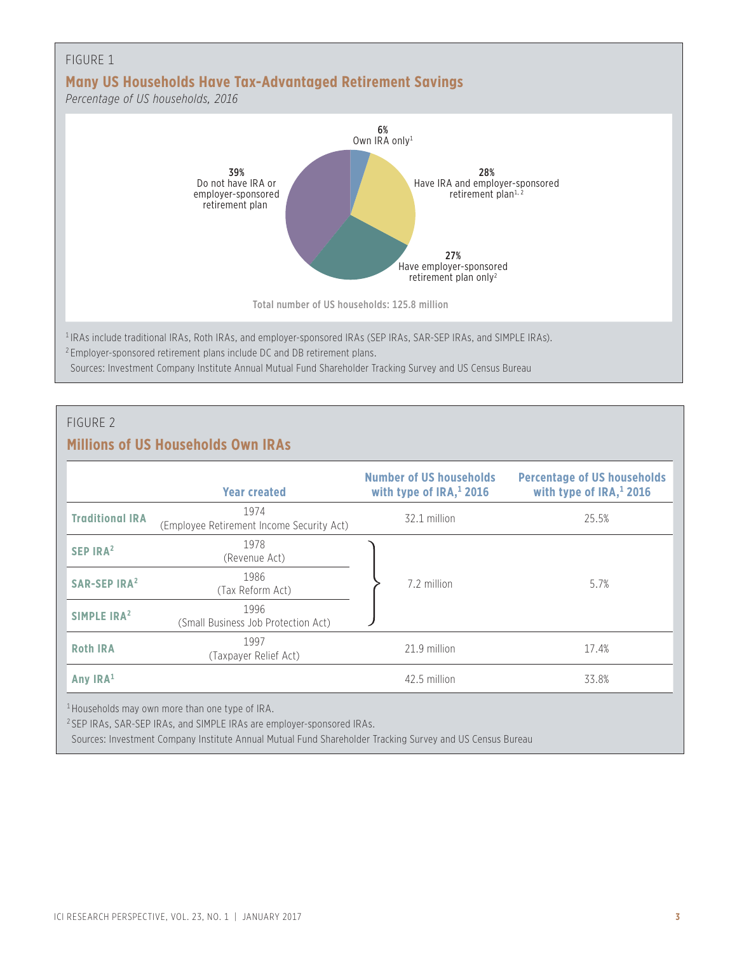

#### FIGURE 2

## **Millions of US Households Own IRAs**

|                                | <b>Year created</b>                                        | <b>Number of US households</b><br>with type of $IRA$ <sup>1</sup> , 2016 | <b>Percentage of US households</b><br>with type of $IRA$ <sup>1</sup> , 2016 |
|--------------------------------|------------------------------------------------------------|--------------------------------------------------------------------------|------------------------------------------------------------------------------|
| <b>Traditional IRA</b>         | 1974<br>(Employee Retirement Income Security Act)          | 32.1 million                                                             | 25.5%                                                                        |
| SEP IRA <sup>2</sup>           | 1978<br>(Revenue Act)                                      |                                                                          |                                                                              |
| <b>SAR-SEP IRA<sup>2</sup></b> | 1986<br>(Tax Reform Act)                                   | 7.2 million                                                              | 5.7%                                                                         |
| SIMPLE IRA <sup>2</sup>        | 1996<br>(Small Business Job Protection Act)                |                                                                          |                                                                              |
| <b>Roth IRA</b>                | 1997<br>(Taxpayer Relief Act)                              | 21.9 million                                                             | 17.4%                                                                        |
| Any $IRA1$                     |                                                            | 42.5 million                                                             | 33.8%                                                                        |
|                                | <sup>1</sup> Households may own more than one type of IRA. |                                                                          |                                                                              |

<sup>2</sup> SEP IRAs, SAR-SEP IRAs, and SIMPLE IRAs are employer-sponsored IRAs.

Sources: Investment Company Institute Annual Mutual Fund Shareholder Tracking Survey and US Census Bureau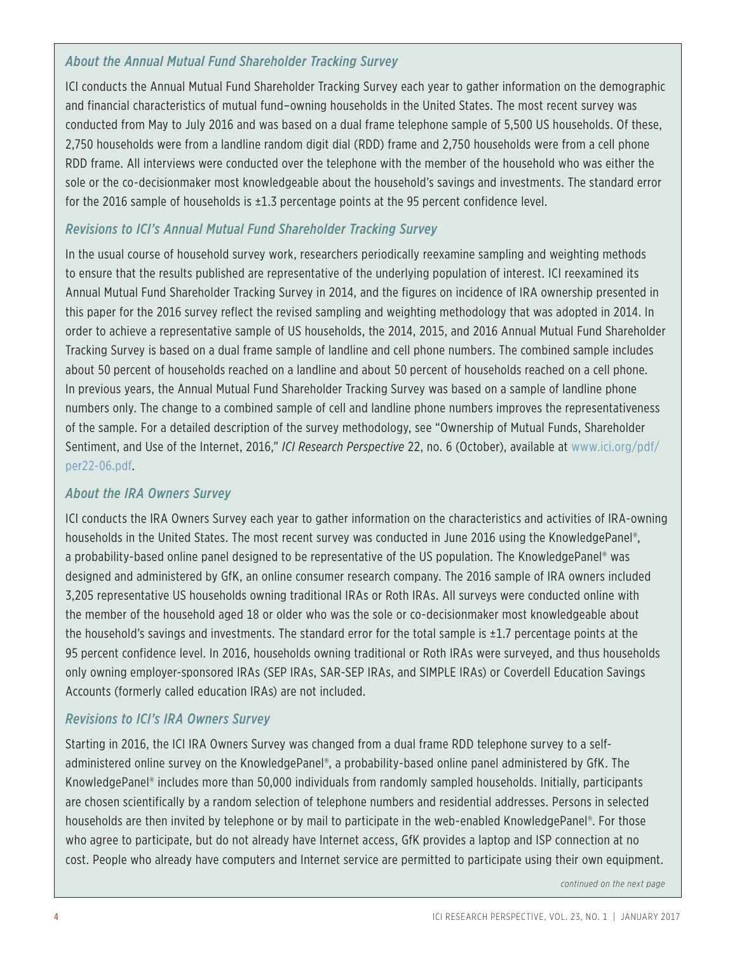#### *About the Annual Mutual Fund Shareholder Tracking Survey*

ICI conducts the Annual Mutual Fund Shareholder Tracking Survey each year to gather information on the demographic and financial characteristics of mutual fund–owning households in the United States. The most recent survey was conducted from May to July 2016 and was based on a dual frame telephone sample of 5,500 US households. Of these, 2,750 households were from a landline random digit dial (RDD) frame and 2,750 households were from a cell phone RDD frame. All interviews were conducted over the telephone with the member of the household who was either the sole or the co-decisionmaker most knowledgeable about the household's savings and investments. The standard error for the 2016 sample of households is ±1.3 percentage points at the 95 percent confidence level.

#### *Revisions to ICI's Annual Mutual Fund Shareholder Tracking Survey*

In the usual course of household survey work, researchers periodically reexamine sampling and weighting methods to ensure that the results published are representative of the underlying population of interest. ICI reexamined its Annual Mutual Fund Shareholder Tracking Survey in 2014, and the figures on incidence of IRA ownership presented in this paper for the 2016 survey reflect the revised sampling and weighting methodology that was adopted in 2014. In order to achieve a representative sample of US households, the 2014, 2015, and 2016 Annual Mutual Fund Shareholder Tracking Survey is based on a dual frame sample of landline and cell phone numbers. The combined sample includes about 50 percent of households reached on a landline and about 50 percent of households reached on a cell phone. In previous years, the Annual Mutual Fund Shareholder Tracking Survey was based on a sample of landline phone numbers only. The change to a combined sample of cell and landline phone numbers improves the representativeness of the sample. For a detailed description of the survey methodology, see "Ownership of Mutual Funds, Shareholder Sentiment, and Use of the Internet, 2016," *ICI Research Perspective* 22, no. 6 (October), available at www.ici.org/pdf/ per22-06.pdf.

#### *About the IRA Owners Survey*

ICI conducts the IRA Owners Survey each year to gather information on the characteristics and activities of IRA-owning households in the United States. The most recent survey was conducted in June 2016 using the KnowledgePanel®, a probability-based online panel designed to be representative of the US population. The KnowledgePanel® was designed and administered by GfK, an online consumer research company. The 2016 sample of IRA owners included 3,205 representative US households owning traditional IRAs or Roth IRAs. All surveys were conducted online with the member of the household aged 18 or older who was the sole or co-decisionmaker most knowledgeable about the household's savings and investments. The standard error for the total sample is  $\pm 1.7$  percentage points at the 95 percent confidence level. In 2016, households owning traditional or Roth IRAs were surveyed, and thus households only owning employer-sponsored IRAs (SEP IRAs, SAR-SEP IRAs, and SIMPLE IRAs) or Coverdell Education Savings Accounts (formerly called education IRAs) are not included.

#### *Revisions to ICI's IRA Owners Survey*

Starting in 2016, the ICI IRA Owners Survey was changed from a dual frame RDD telephone survey to a selfadministered online survey on the KnowledgePanel®, a probability-based online panel administered by GfK. The KnowledgePanel® includes more than 50,000 individuals from randomly sampled households. Initially, participants are chosen scientifically by a random selection of telephone numbers and residential addresses. Persons in selected households are then invited by telephone or by mail to participate in the web-enabled KnowledgePanel®. For those who agree to participate, but do not already have Internet access, GfK provides a laptop and ISP connection at no cost. People who already have computers and Internet service are permitted to participate using their own equipment.

*continued on the next page*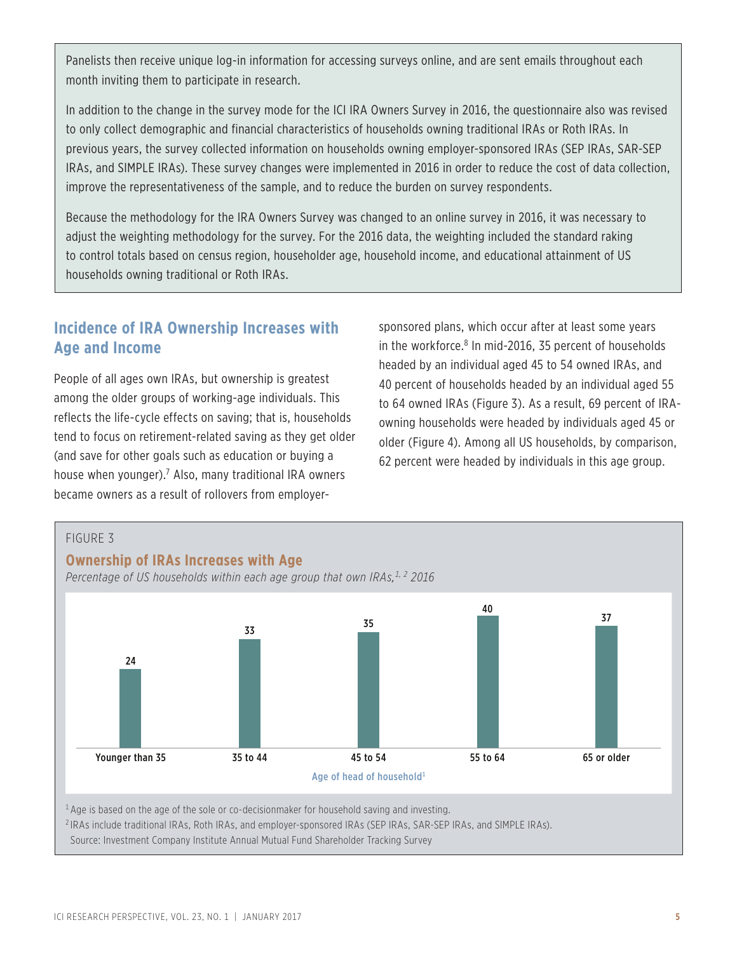Panelists then receive unique log-in information for accessing surveys online, and are sent emails throughout each month inviting them to participate in research.

In addition to the change in the survey mode for the ICI IRA Owners Survey in 2016, the questionnaire also was revised to only collect demographic and financial characteristics of households owning traditional IRAs or Roth IRAs. In previous years, the survey collected information on households owning employer-sponsored IRAs (SEP IRAs, SAR-SEP IRAs, and SIMPLE IRAs). These survey changes were implemented in 2016 in order to reduce the cost of data collection, improve the representativeness of the sample, and to reduce the burden on survey respondents.

Because the methodology for the IRA Owners Survey was changed to an online survey in 2016, it was necessary to adjust the weighting methodology for the survey. For the 2016 data, the weighting included the standard raking to control totals based on census region, householder age, household income, and educational attainment of US households owning traditional or Roth IRAs.

## **Incidence of IRA Ownership Increases with Age and Income**

People of all ages own IRAs, but ownership is greatest among the older groups of working-age individuals. This reflects the life-cycle effects on saving; that is, households tend to focus on retirement-related saving as they get older (and save for other goals such as education or buying a house when younger).<sup>7</sup> Also, many traditional IRA owners became owners as a result of rollovers from employersponsored plans, which occur after at least some years in the workforce.<sup>8</sup> In mid-2016, 35 percent of households headed by an individual aged 45 to 54 owned IRAs, and 40 percent of households headed by an individual aged 55 to 64 owned IRAs (Figure 3). As a result, 69 percent of IRAowning households were headed by individuals aged 45 or older (Figure 4). Among all US households, by comparison, 62 percent were headed by individuals in this age group.



<sup>2</sup> IRAs include traditional IRAs, Roth IRAs, and employer-sponsored IRAs (SEP IRAs, SAR-SEP IRAs, and SIMPLE IRAs).

Source: Investment Company Institute Annual Mutual Fund Shareholder Tracking Survey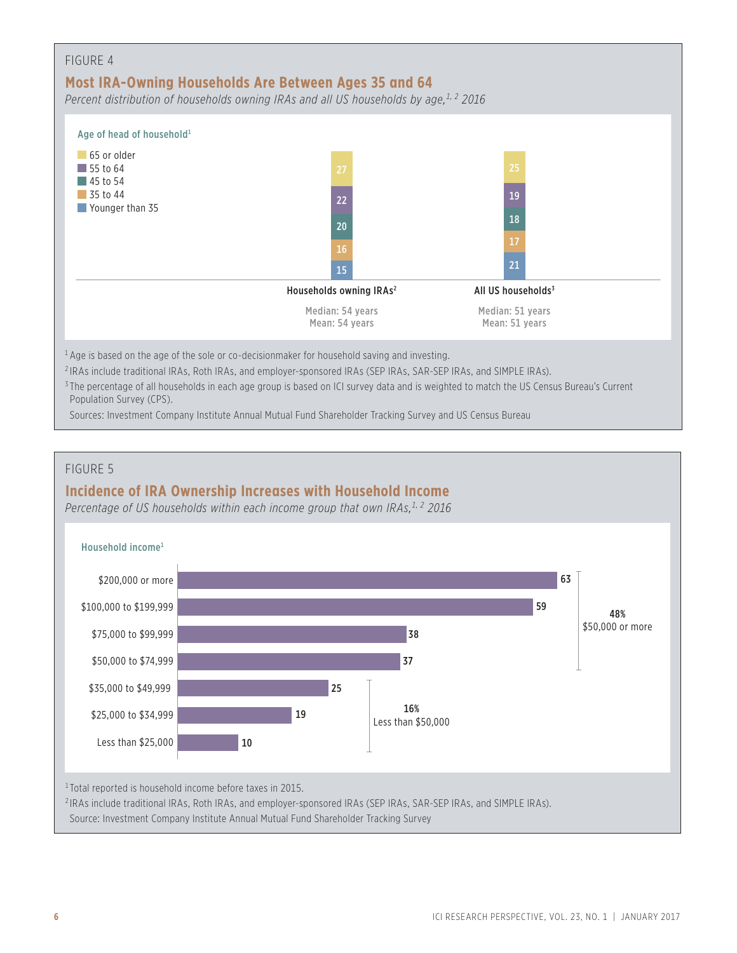| FIGURE 4<br>Most IRA-Owning Households Are Between Ages 35 and 64<br>Percent distribution of households owning IRAs and all US households by age, <sup>1, 2</sup> 2016 |                                     |                                    |  |
|------------------------------------------------------------------------------------------------------------------------------------------------------------------------|-------------------------------------|------------------------------------|--|
| Age of head of household <sup>1</sup>                                                                                                                                  |                                     |                                    |  |
| 65 or older<br>$\vert$ 55 to 64<br>$\blacksquare$ 45 to 54                                                                                                             | 27                                  | 25                                 |  |
| 35 to 44                                                                                                                                                               | 22                                  | 19                                 |  |
| Younger than 35                                                                                                                                                        | 20                                  | 18                                 |  |
|                                                                                                                                                                        | 16                                  | 17                                 |  |
|                                                                                                                                                                        | 15                                  | 21                                 |  |
|                                                                                                                                                                        | Households owning IRAs <sup>2</sup> | All US households <sup>3</sup>     |  |
|                                                                                                                                                                        | Median: 54 years<br>Mean: 54 years  | Median: 51 years<br>Mean: 51 years |  |

 $1$  Age is based on the age of the sole or co-decisionmaker for household saving and investing.

<sup>2</sup> IRAs include traditional IRAs, Roth IRAs, and employer-sponsored IRAs (SEP IRAs, SAR-SEP IRAs, and SIMPLE IRAs).

<sup>3</sup> The percentage of all households in each age group is based on ICI survey data and is weighted to match the US Census Bureau's Current Population Survey (CPS).

Sources: Investment Company Institute Annual Mutual Fund Shareholder Tracking Survey and US Census Bureau

#### FIGURE 5

## **Incidence of IRA Ownership Increases with Household Income**

Percentage of US households within each income group that own IRAs,<sup>1,2</sup> 2016

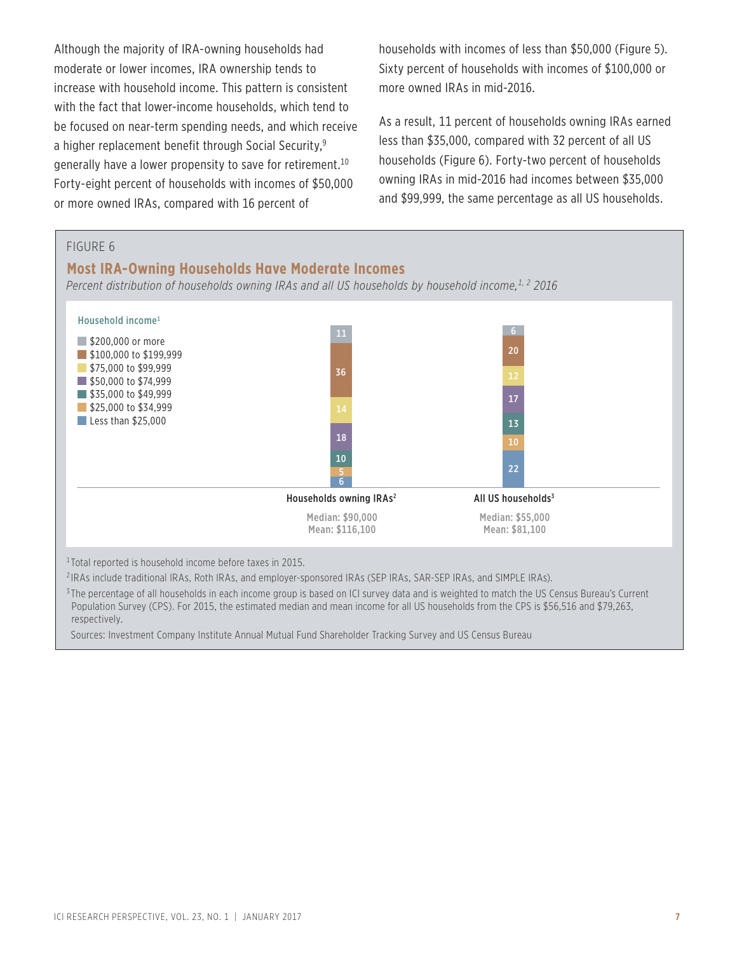Although the majority of IRA-owning households had moderate or lower incomes, IRA ownership tends to increase with household income. This pattern is consistent with the fact that lower-income households, which tend to be focused on near-term spending needs, and which receive a higher replacement benefit through Social Security,<sup>9</sup> generally have a lower propensity to save for retirement.<sup>10</sup> Forty-eight percent of households with incomes of \$50,000 or more owned IRAs, compared with 16 percent of

households with incomes of less than \$50,000 (Figure 5). Sixty percent of households with incomes of \$100,000 or more owned IRAs in mid-2016.

As a result, 11 percent of households owning IRAs earned less than \$35,000, compared with 32 percent of all US households (Figure 6). Forty-two percent of households owning IRAs in mid-2016 had incomes between \$35,000 and \$99,999, the same percentage as all US households.



<sup>2</sup> IRAs include traditional IRAs, Roth IRAs, and employer-sponsored IRAs (SEP IRAs, SAR-SEP IRAs, and SIMPLE IRAs).

<sup>3</sup>The percentage of all households in each income group is based on ICI survey data and is weighted to match the US Census Bureau's Current Population Survey (CPS). For 2015, the estimated median and mean income for all US households from the CPS is \$56,516 and \$79,263, respectively.

Sources: Investment Company Institute Annual Mutual Fund Shareholder Tracking Survey and US Census Bureau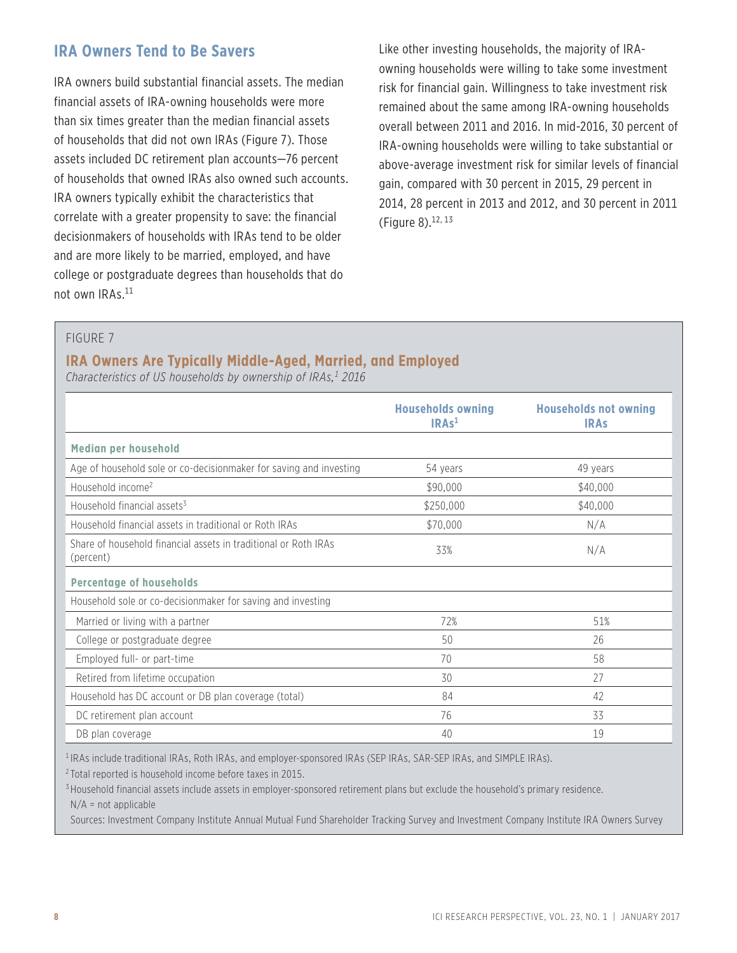## **IRA Owners Tend to Be Savers**

IRA owners build substantial financial assets. The median financial assets of IRA-owning households were more than six times greater than the median financial assets of households that did not own IRAs (Figure 7). Those assets included DC retirement plan accounts—76 percent of households that owned IRAs also owned such accounts. IRA owners typically exhibit the characteristics that correlate with a greater propensity to save: the financial decisionmakers of households with IRAs tend to be older and are more likely to be married, employed, and have college or postgraduate degrees than households that do not own IRAs.11

Like other investing households, the majority of IRAowning households were willing to take some investment risk for financial gain. Willingness to take investment risk remained about the same among IRA-owning households overall between 2011 and 2016. In mid-2016, 30 percent of IRA-owning households were willing to take substantial or above-average investment risk for similar levels of financial gain, compared with 30 percent in 2015, 29 percent in 2014, 28 percent in 2013 and 2012, and 30 percent in 2011 (Figure 8).12, 13

#### FIGURE 7

#### **IRA Owners Are Typically Middle-Aged, Married, and Employed**

Characteristics of US households by ownership of IRAs,<sup>1</sup> 2016

|                                                                              | <b>Households owning</b><br>IRAs <sup>1</sup> | <b>Households not owning</b><br><b>IRAS</b> |
|------------------------------------------------------------------------------|-----------------------------------------------|---------------------------------------------|
| Median per household                                                         |                                               |                                             |
| Age of household sole or co-decisionmaker for saving and investing           | 54 years                                      | 49 years                                    |
| Household income <sup>2</sup>                                                | \$90,000                                      | \$40,000                                    |
| Household financial assets <sup>3</sup>                                      | \$250,000                                     | \$40,000                                    |
| Household financial assets in traditional or Roth IRAs                       | \$70,000                                      | N/A                                         |
| Share of household financial assets in traditional or Roth IRAs<br>(percent) | 33%                                           | N/A                                         |
| <b>Percentage of households</b>                                              |                                               |                                             |
| Household sole or co-decisionmaker for saving and investing                  |                                               |                                             |
| Married or living with a partner                                             | 72%                                           | 51%                                         |
| College or postgraduate degree                                               | 50                                            | 26                                          |
| Employed full- or part-time                                                  | 70                                            | 58                                          |
| Retired from lifetime occupation                                             | 30                                            | 27                                          |
| Household has DC account or DB plan coverage (total)                         | 84                                            | 42                                          |
| DC retirement plan account                                                   | 76                                            | 33                                          |
| DB plan coverage                                                             | 40                                            | 19                                          |

<sup>1</sup> IRAs include traditional IRAs, Roth IRAs, and employer-sponsored IRAs (SEP IRAs, SAR-SEP IRAs, and SIMPLE IRAs).

<sup>2</sup> Total reported is household income before taxes in 2015.

<sup>3</sup> Household financial assets include assets in employer-sponsored retirement plans but exclude the household's primary residence.  $N/A$  = not applicable

Sources: Investment Company Institute Annual Mutual Fund Shareholder Tracking Survey and Investment Company Institute IRA Owners Survey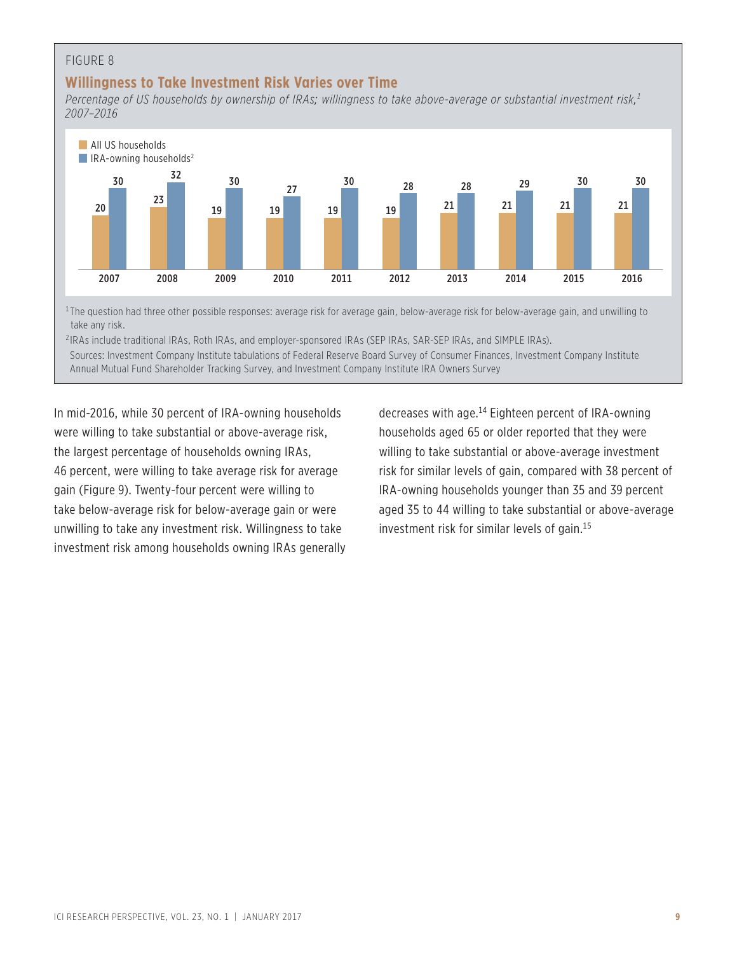#### FIGURE 8

#### **Willingness to Take Investment Risk Varies over Time**

*Percentage of US households by ownership of IRAs; willingness to take above-average or substantial investment risk,1 2007–2016*



<sup>1</sup>The question had three other possible responses: average risk for average gain, below-average risk for below-average gain, and unwilling to take any risk.

<sup>2</sup> IRAs include traditional IRAs, Roth IRAs, and employer-sponsored IRAs (SEP IRAs, SAR-SEP IRAs, and SIMPLE IRAs). Sources: Investment Company Institute tabulations of Federal Reserve Board Survey of Consumer Finances, Investment Company Institute Annual Mutual Fund Shareholder Tracking Survey, and Investment Company Institute IRA Owners Survey

In mid-2016, while 30 percent of IRA-owning households were willing to take substantial or above-average risk, the largest percentage of households owning IRAs, 46 percent, were willing to take average risk for average gain (Figure 9). Twenty-four percent were willing to take below-average risk for below-average gain or were unwilling to take any investment risk. Willingness to take investment risk among households owning IRAs generally decreases with age.14 Eighteen percent of IRA-owning households aged 65 or older reported that they were willing to take substantial or above-average investment risk for similar levels of gain, compared with 38 percent of IRA-owning households younger than 35 and 39 percent aged 35 to 44 willing to take substantial or above-average investment risk for similar levels of gain.15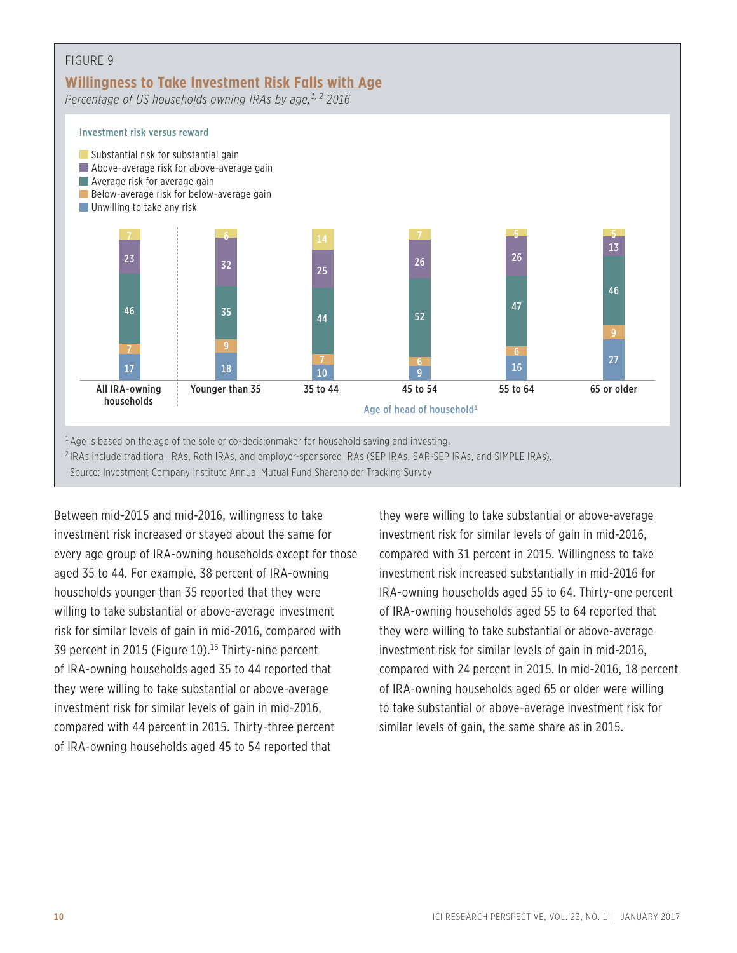

Between mid-2015 and mid-2016, willingness to take investment risk increased or stayed about the same for every age group of IRA-owning households except for those aged 35 to 44. For example, 38 percent of IRA-owning households younger than 35 reported that they were willing to take substantial or above-average investment risk for similar levels of gain in mid-2016, compared with 39 percent in 2015 (Figure 10).<sup>16</sup> Thirty-nine percent of IRA-owning households aged 35 to 44 reported that they were willing to take substantial or above-average investment risk for similar levels of gain in mid-2016, compared with 44 percent in 2015. Thirty-three percent of IRA-owning households aged 45 to 54 reported that

they were willing to take substantial or above-average investment risk for similar levels of gain in mid-2016, compared with 31 percent in 2015. Willingness to take investment risk increased substantially in mid-2016 for IRA-owning households aged 55 to 64. Thirty-one percent of IRA-owning households aged 55 to 64 reported that they were willing to take substantial or above-average investment risk for similar levels of gain in mid-2016, compared with 24 percent in 2015. In mid-2016, 18 percent of IRA-owning households aged 65 or older were willing to take substantial or above-average investment risk for similar levels of gain, the same share as in 2015.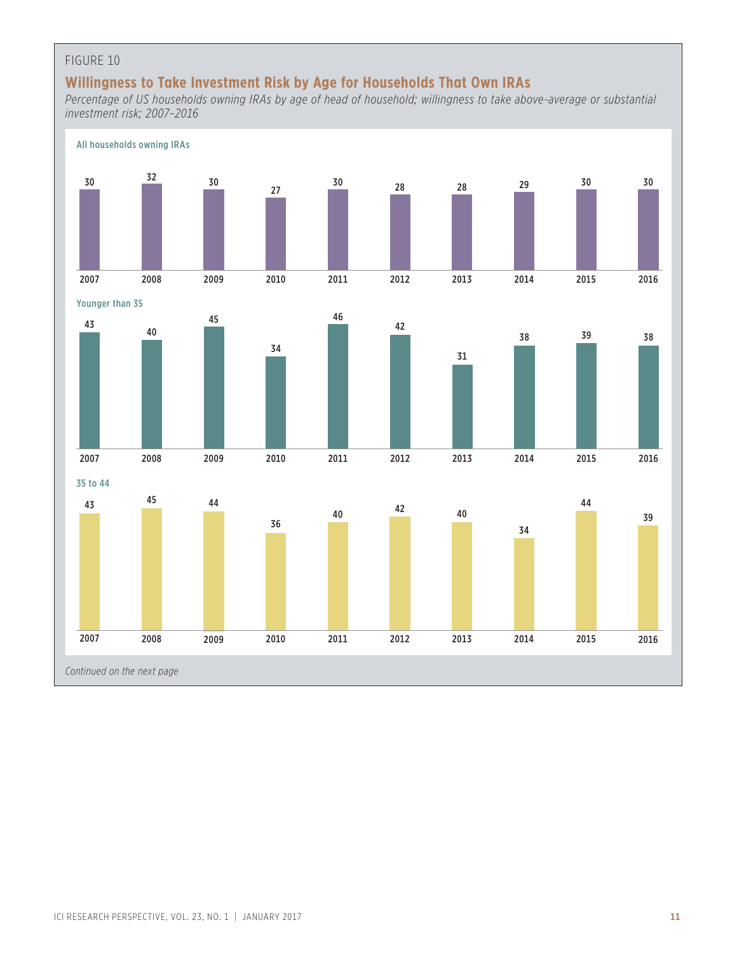#### FIGURE 10

## **Willingness to Take Investment Risk by Age for Households That Own IRAs**

*Percentage of US households owning IRAs by age of head of household; willingness to take above-average or substantial investment risk; 2007–2016*

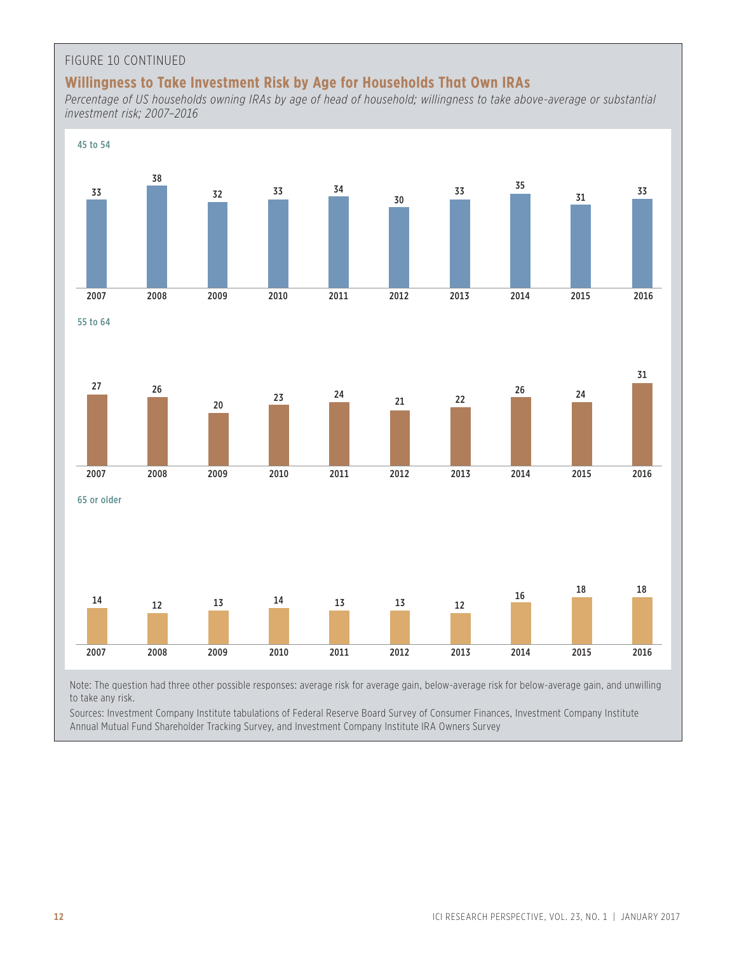#### FIGURE 10 CONTINUED

## **Willingness to Take Investment Risk by Age for Households That Own IRAs**

*Percentage of US households owning IRAs by age of head of household; willingness to take above-average or substantial investment risk; 2007–2016*



Note: The question had three other possible responses: average risk for average gain, below-average risk for below-average gain, and unwilling to take any risk.

Sources: Investment Company Institute tabulations of Federal Reserve Board Survey of Consumer Finances, Investment Company Institute Annual Mutual Fund Shareholder Tracking Survey, and Investment Company Institute IRA Owners Survey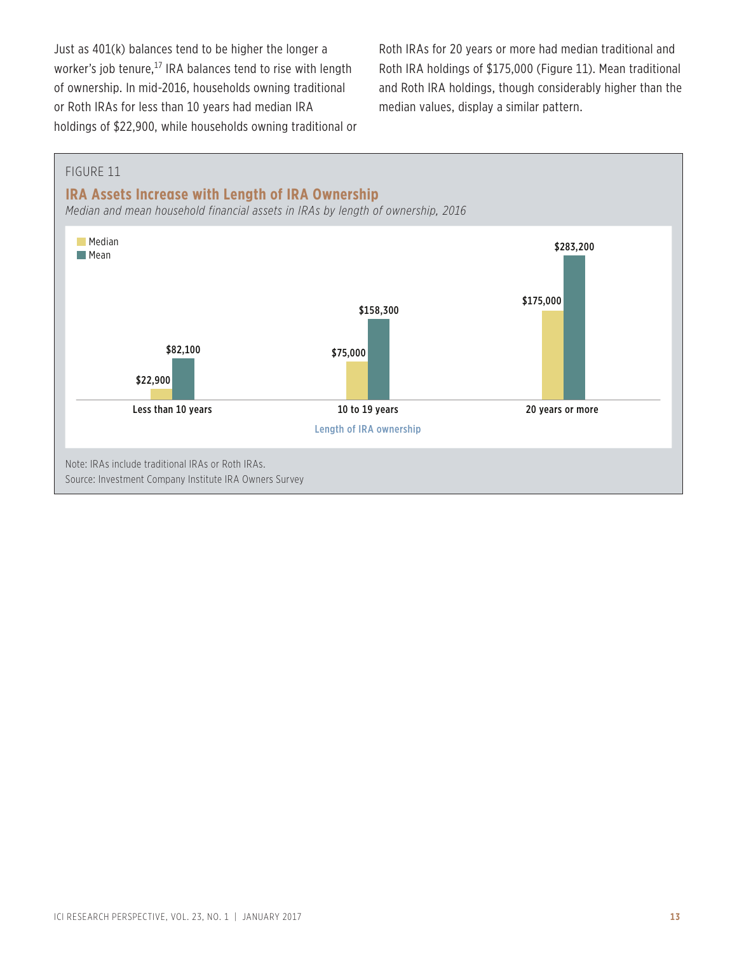Just as 401(k) balances tend to be higher the longer a worker's job tenure,<sup>17</sup> IRA balances tend to rise with length of ownership. In mid-2016, households owning traditional or Roth IRAs for less than 10 years had median IRA holdings of \$22,900, while households owning traditional or Roth IRAs for 20 years or more had median traditional and Roth IRA holdings of \$175,000 (Figure 11). Mean traditional and Roth IRA holdings, though considerably higher than the median values, display a similar pattern.

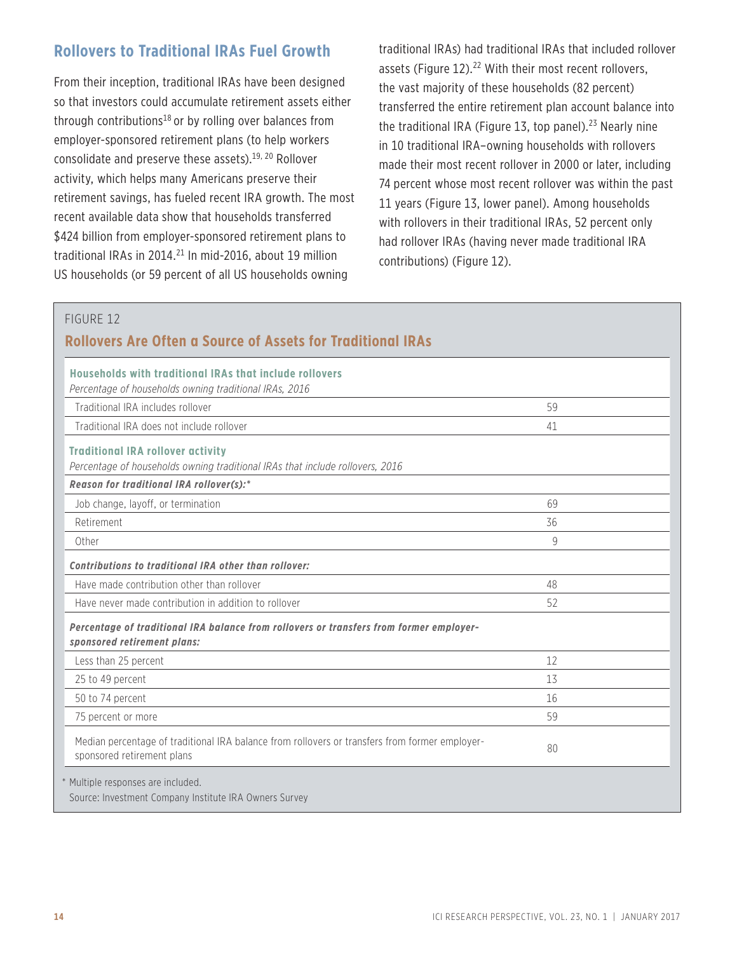## **Rollovers to Traditional IRAs Fuel Growth**

From their inception, traditional IRAs have been designed so that investors could accumulate retirement assets either through contributions<sup>18</sup> or by rolling over balances from employer-sponsored retirement plans (to help workers consolidate and preserve these assets).<sup>19, 20</sup> Rollover activity, which helps many Americans preserve their retirement savings, has fueled recent IRA growth. The most recent available data show that households transferred \$424 billion from employer-sponsored retirement plans to traditional IRAs in 2014. $^{21}$  In mid-2016, about 19 million US households (or 59 percent of all US households owning

traditional IRAs) had traditional IRAs that included rollover assets (Figure 12).<sup>22</sup> With their most recent rollovers, the vast majority of these households (82 percent) transferred the entire retirement plan account balance into the traditional IRA (Figure 13, top panel).<sup>23</sup> Nearly nine in 10 traditional IRA–owning households with rollovers made their most recent rollover in 2000 or later, including 74 percent whose most recent rollover was within the past 11 years (Figure 13, lower panel). Among households with rollovers in their traditional IRAs, 52 percent only had rollover IRAs (having never made traditional IRA contributions) (Figure 12).

#### FIGURE 12

## **Rollovers Are Often a Source of Assets for Traditional IRAs**

| Households with traditional IRAs that include rollovers<br>Percentage of households owning traditional IRAs, 2016            |    |
|------------------------------------------------------------------------------------------------------------------------------|----|
| Traditional IRA includes rollover                                                                                            | 59 |
| Traditional IRA does not include rollover                                                                                    | 41 |
| <b>Traditional IRA rollover activity</b><br>Percentage of households owning traditional IRAs that include rollovers, 2016    |    |
| Reason for traditional IRA rollover(s):*                                                                                     |    |
| Job change, layoff, or termination                                                                                           | 69 |
| Retirement                                                                                                                   | 36 |
| Other                                                                                                                        | 9  |
| Contributions to traditional IRA other than rollover:                                                                        |    |
| Have made contribution other than rollover                                                                                   | 48 |
| Have never made contribution in addition to rollover                                                                         | 52 |
| Percentage of traditional IRA balance from rollovers or transfers from former employer-<br>sponsored retirement plans:       |    |
| Less than 25 percent                                                                                                         | 12 |
| 25 to 49 percent                                                                                                             | 13 |
| 50 to 74 percent                                                                                                             | 16 |
| 75 percent or more                                                                                                           | 59 |
| Median percentage of traditional IRA balance from rollovers or transfers from former employer-<br>sponsored retirement plans | 80 |
| * Multiple responses are included.<br>Source: Investment Company Institute IRA Owners Survey                                 |    |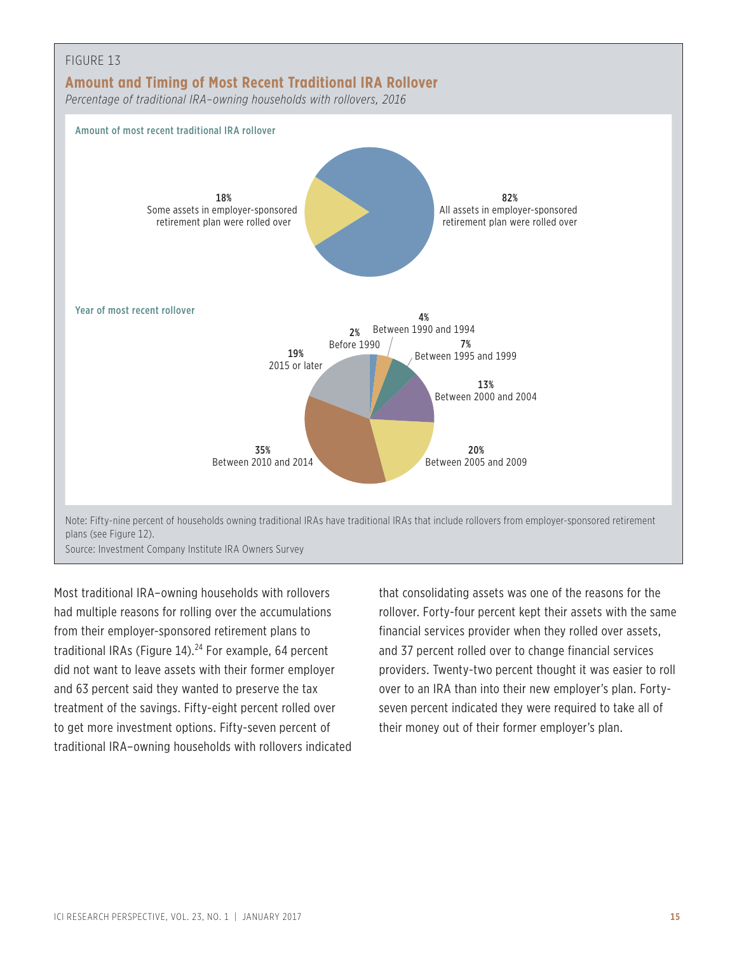

Most traditional IRA–owning households with rollovers had multiple reasons for rolling over the accumulations from their employer-sponsored retirement plans to traditional IRAs (Figure 14).<sup>24</sup> For example, 64 percent did not want to leave assets with their former employer and 63 percent said they wanted to preserve the tax treatment of the savings. Fifty-eight percent rolled over to get more investment options. Fifty-seven percent of traditional IRA–owning households with rollovers indicated that consolidating assets was one of the reasons for the rollover. Forty-four percent kept their assets with the same financial services provider when they rolled over assets, and 37 percent rolled over to change financial services providers. Twenty-two percent thought it was easier to roll over to an IRA than into their new employer's plan. Fortyseven percent indicated they were required to take all of their money out of their former employer's plan.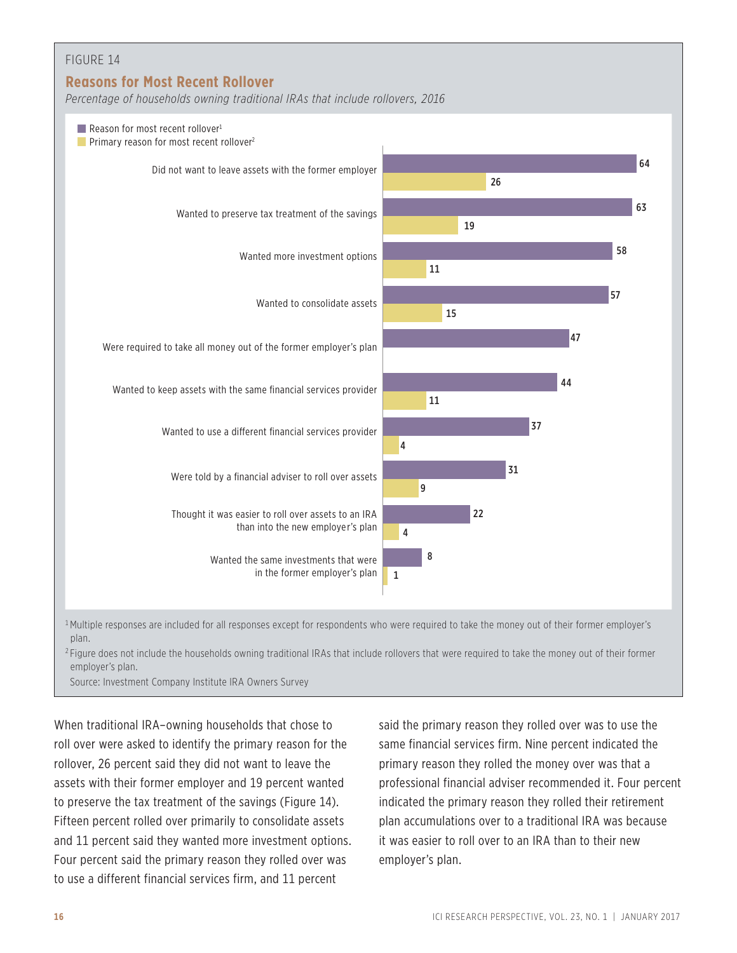

<sup>2</sup> Figure does not include the households owning traditional IRAs that include rollovers that were required to take the money out of their former employer's plan.

Source: Investment Company Institute IRA Owners Survey

When traditional IRA–owning households that chose to roll over were asked to identify the primary reason for the rollover, 26 percent said they did not want to leave the assets with their former employer and 19 percent wanted to preserve the tax treatment of the savings (Figure 14). Fifteen percent rolled over primarily to consolidate assets and 11 percent said they wanted more investment options. Four percent said the primary reason they rolled over was to use a different financial services firm, and 11 percent

said the primary reason they rolled over was to use the same financial services firm. Nine percent indicated the primary reason they rolled the money over was that a professional financial adviser recommended it. Four percent indicated the primary reason they rolled their retirement plan accumulations over to a traditional IRA was because it was easier to roll over to an IRA than to their new employer's plan.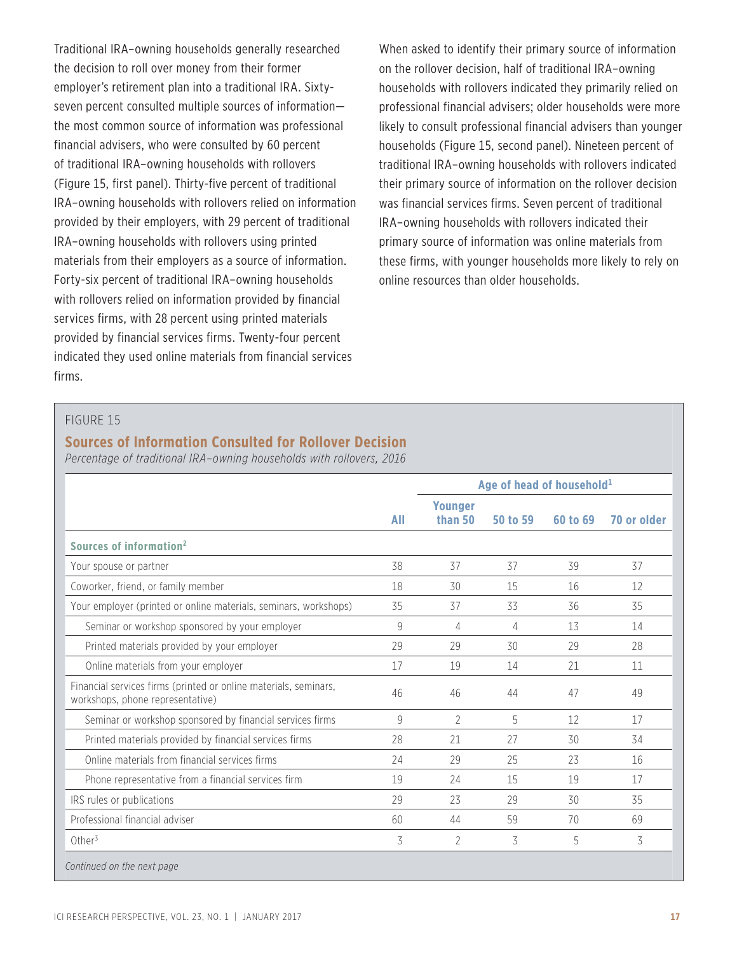Traditional IRA–owning households generally researched the decision to roll over money from their former employer's retirement plan into a traditional IRA. Sixtyseven percent consulted multiple sources of information the most common source of information was professional financial advisers, who were consulted by 60 percent of traditional IRA–owning households with rollovers (Figure 15, first panel). Thirty-five percent of traditional IRA–owning households with rollovers relied on information provided by their employers, with 29 percent of traditional IRA–owning households with rollovers using printed materials from their employers as a source of information. Forty-six percent of traditional IRA–owning households with rollovers relied on information provided by financial services firms, with 28 percent using printed materials provided by financial services firms. Twenty-four percent indicated they used online materials from financial services firms.

When asked to identify their primary source of information on the rollover decision, half of traditional IRA–owning households with rollovers indicated they primarily relied on professional financial advisers; older households were more likely to consult professional financial advisers than younger households (Figure 15, second panel). Nineteen percent of traditional IRA–owning households with rollovers indicated their primary source of information on the rollover decision was financial services firms. Seven percent of traditional IRA–owning households with rollovers indicated their primary source of information was online materials from these firms, with younger households more likely to rely on online resources than older households.

#### FIGURE 15

#### **Sources of Information Consulted for Rollover Decision**

*Percentage of traditional IRA–owning households with rollovers, 2016*

|                                                                                                      |     | Age of head of household <sup>1</sup> |          |          |             |
|------------------------------------------------------------------------------------------------------|-----|---------------------------------------|----------|----------|-------------|
|                                                                                                      | All | <b>Younger</b><br>than 50             | 50 to 59 | 60 to 69 | 70 or older |
| Sources of information <sup>2</sup>                                                                  |     |                                       |          |          |             |
| Your spouse or partner                                                                               | 38  | 37                                    | 37       | 39       | 37          |
| Coworker, friend, or family member                                                                   | 18  | 30                                    | 15       | 16       | 12          |
| Your employer (printed or online materials, seminars, workshops)                                     | 35  | 37                                    | 33       | 36       | 35          |
| Seminar or workshop sponsored by your employer                                                       | 9   | 4                                     | 4        | 13       | 14          |
| Printed materials provided by your employer                                                          | 29  | 29                                    | 30       | 29       | 28          |
| Online materials from your employer                                                                  | 17  | 19                                    | 14       | 21       | 11          |
| Financial services firms (printed or online materials, seminars,<br>workshops, phone representative) | 46  | 46                                    | 44       | 47       | 49          |
| Seminar or workshop sponsored by financial services firms                                            | 9   | 2                                     | 5        | 12       | 17          |
| Printed materials provided by financial services firms                                               | 28  | 21                                    | 27       | 30       | 34          |
| Online materials from financial services firms                                                       | 24  | 29                                    | 25       | 23       | 16          |
| Phone representative from a financial services firm                                                  | 19  | 24                                    | 15       | 19       | 17          |
| IRS rules or publications                                                                            | 29  | 23                                    | 29       | 30       | 35          |
| Professional financial adviser                                                                       | 60  | 44                                    | 59       | 70       | 69          |
| Other <sup>3</sup>                                                                                   | 3   | 2                                     | 3        | 5        | 3           |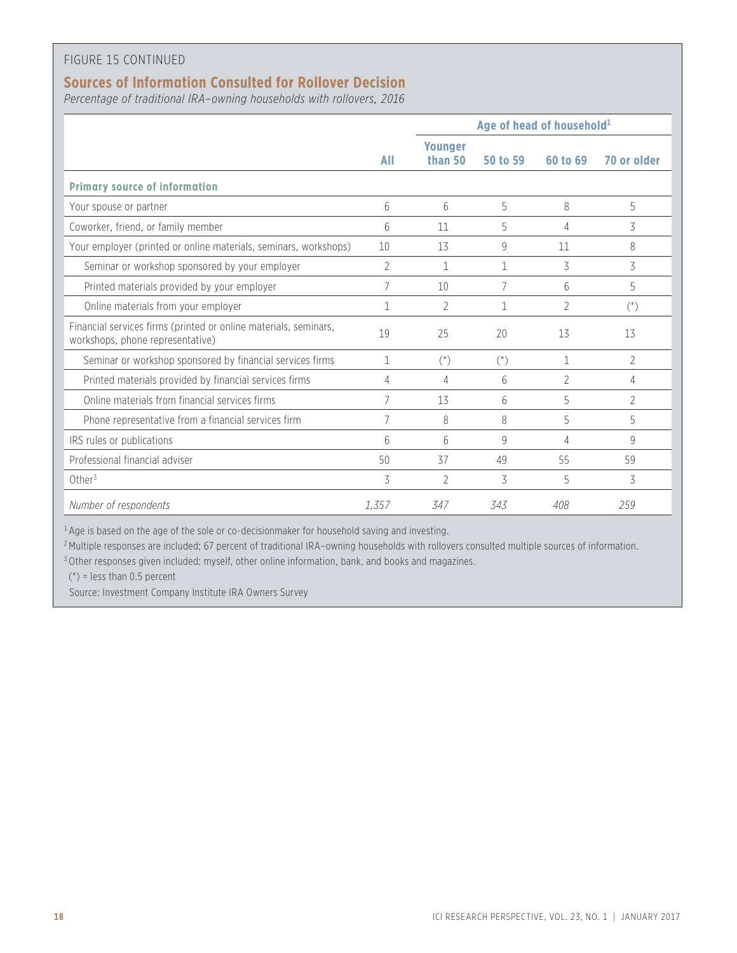#### FIGURE 15 CONTINUED

### **Sources of Information Consulted for Rollover Decision**

*Percentage of traditional IRA–owning households with rollovers, 2016*

|                                                                                                      |                | Age of head of household <sup>1</sup> |          |                |                    |
|------------------------------------------------------------------------------------------------------|----------------|---------------------------------------|----------|----------------|--------------------|
|                                                                                                      | All            | Younger<br>than 50                    | 50 to 59 | 60 to 69       | 70 or older        |
| <b>Primary source of information</b>                                                                 |                |                                       |          |                |                    |
| Your spouse or partner                                                                               | 6              | 6                                     | 5        | 8              | 5                  |
| Coworker, friend, or family member                                                                   | 6              | 11                                    | 5        | 4              | 3                  |
| Your employer (printed or online materials, seminars, workshops)                                     | 10             | 13                                    | 9        | 11             | 8                  |
| Seminar or workshop sponsored by your employer                                                       | $\overline{2}$ | 1                                     | 1        | 3              | 3                  |
| Printed materials provided by your employer                                                          | 7              | 10                                    | 7        | 6              | 5                  |
| Online materials from your employer                                                                  | 1              | $\overline{2}$                        | 1        | $\overline{2}$ | $($ <sup>*</sup> ) |
| Financial services firms (printed or online materials, seminars,<br>workshops, phone representative) | 19             | 25                                    | 20       | 13             | 13                 |
| Seminar or workshop sponsored by financial services firms                                            | 1              | $(*)$                                 | $(*)$    | 1              | 2                  |
| Printed materials provided by financial services firms                                               | 4              | 4                                     | 6        | $\overline{2}$ | 4                  |
| Online materials from financial services firms                                                       | 7              | 13                                    | 6        | 5              | $\overline{2}$     |
| Phone representative from a financial services firm                                                  | 7              | 8                                     | 8        | 5              | 5                  |
| IRS rules or publications                                                                            | 6              | 6                                     | 9        | 4              | 9                  |
| Professional financial adviser                                                                       | 50             | 37                                    | 49       | 55             | 59                 |
| Other <sup>3</sup>                                                                                   | 3              | $\gamma$                              | 3        | 5              | 3                  |
| Number of respondents                                                                                | 1,357          | 347                                   | 343      | 408            | 259                |

<sup>1</sup> Age is based on the age of the sole or co-decisionmaker for household saving and investing.

<sup>2</sup> Multiple responses are included; 67 percent of traditional IRA-owning households with rollovers consulted multiple sources of information.

<sup>3</sup> Other responses given included: myself, other online information, bank, and books and magazines.

 $(*)$  = less than 0.5 percent

Source: Investment Company Institute IRA Owners Survey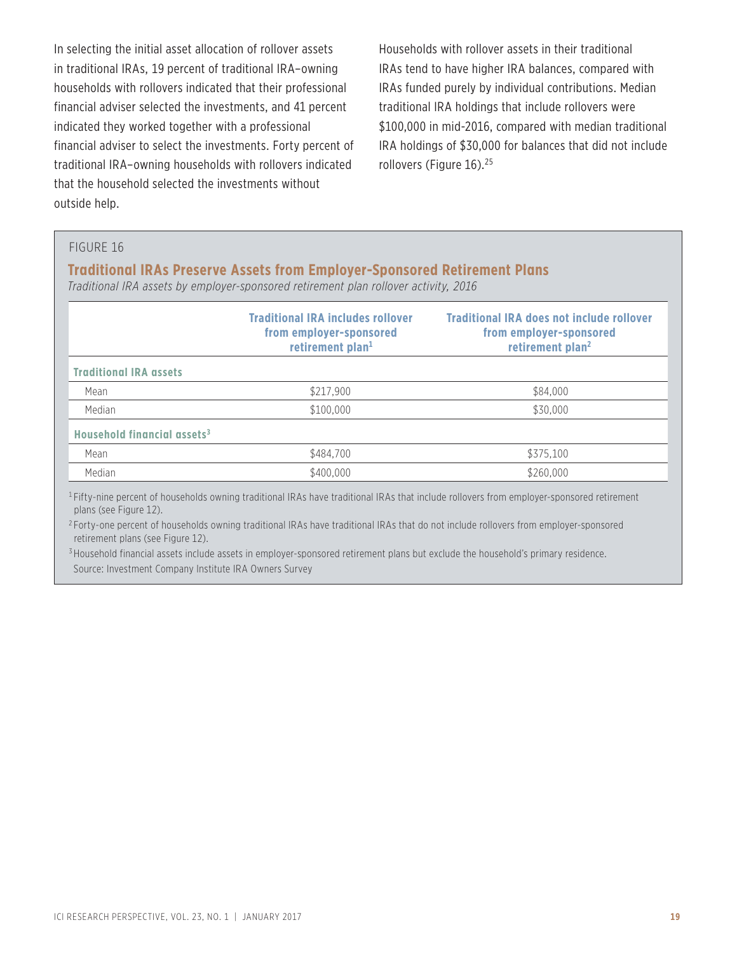In selecting the initial asset allocation of rollover assets in traditional IRAs, 19 percent of traditional IRA–owning households with rollovers indicated that their professional financial adviser selected the investments, and 41 percent indicated they worked together with a professional financial adviser to select the investments. Forty percent of traditional IRA–owning households with rollovers indicated that the household selected the investments without outside help.

Households with rollover assets in their traditional IRAs tend to have higher IRA balances, compared with IRAs funded purely by individual contributions. Median traditional IRA holdings that include rollovers were \$100,000 in mid-2016, compared with median traditional IRA holdings of \$30,000 for balances that did not include rollovers (Figure 16).<sup>25</sup>

#### FIGURE 16

#### **Traditional IRAs Preserve Assets from Employer-Sponsored Retirement Plans**

*Traditional IRA assets by employer-sponsored retirement plan rollover activity, 2016*

|                                         | <b>Traditional IRA includes rollover</b><br>from employer-sponsored<br>retirement plan <sup>1</sup> | <b>Traditional IRA does not include rollover</b><br>from employer-sponsored<br>retirement plan <sup>2</sup> |
|-----------------------------------------|-----------------------------------------------------------------------------------------------------|-------------------------------------------------------------------------------------------------------------|
| <b>Traditional IRA assets</b>           |                                                                                                     |                                                                                                             |
| Mean                                    | \$217,900                                                                                           | \$84,000                                                                                                    |
| Median                                  | \$100,000                                                                                           | \$30,000                                                                                                    |
| Household financial assets <sup>3</sup> |                                                                                                     |                                                                                                             |
| Mean                                    | \$484.700                                                                                           | \$375.100                                                                                                   |
| Median                                  | \$400,000                                                                                           | \$260,000                                                                                                   |

<sup>1</sup> Fifty-nine percent of households owning traditional IRAs have traditional IRAs that include rollovers from employer-sponsored retirement plans (see Figure 12).

<sup>2</sup> Forty-one percent of households owning traditional IRAs have traditional IRAs that do not include rollovers from employer-sponsored retirement plans (see Figure 12).

<sup>3</sup> Household financial assets include assets in employer-sponsored retirement plans but exclude the household's primary residence. Source: Investment Company Institute IRA Owners Survey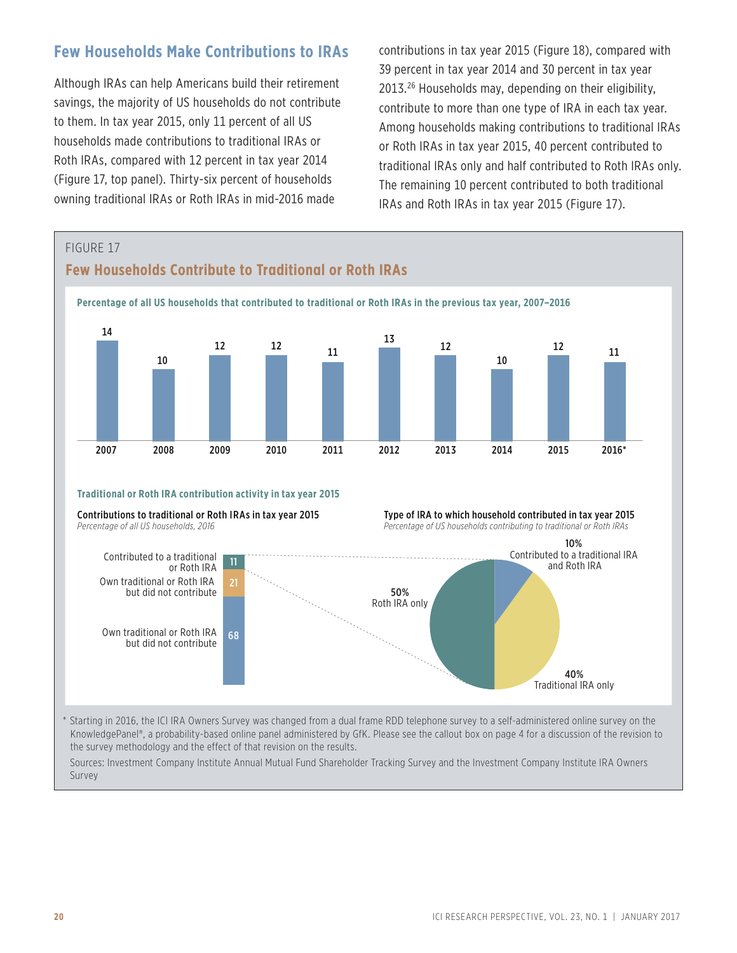## **Few Households Make Contributions to IRAs**

Although IRAs can help Americans build their retirement savings, the majority of US households do not contribute to them. In tax year 2015, only 11 percent of all US households made contributions to traditional IRAs or Roth IRAs, compared with 12 percent in tax year 2014 (Figure 17, top panel). Thirty-six percent of households owning traditional IRAs or Roth IRAs in mid-2016 made

contributions in tax year 2015 (Figure 18), compared with 39 percent in tax year 2014 and 30 percent in tax year 2013.26 Households may, depending on their eligibility, contribute to more than one type of IRA in each tax year. Among households making contributions to traditional IRAs or Roth IRAs in tax year 2015, 40 percent contributed to traditional IRAs only and half contributed to Roth IRAs only. The remaining 10 percent contributed to both traditional IRAs and Roth IRAs in tax year 2015 (Figure 17).

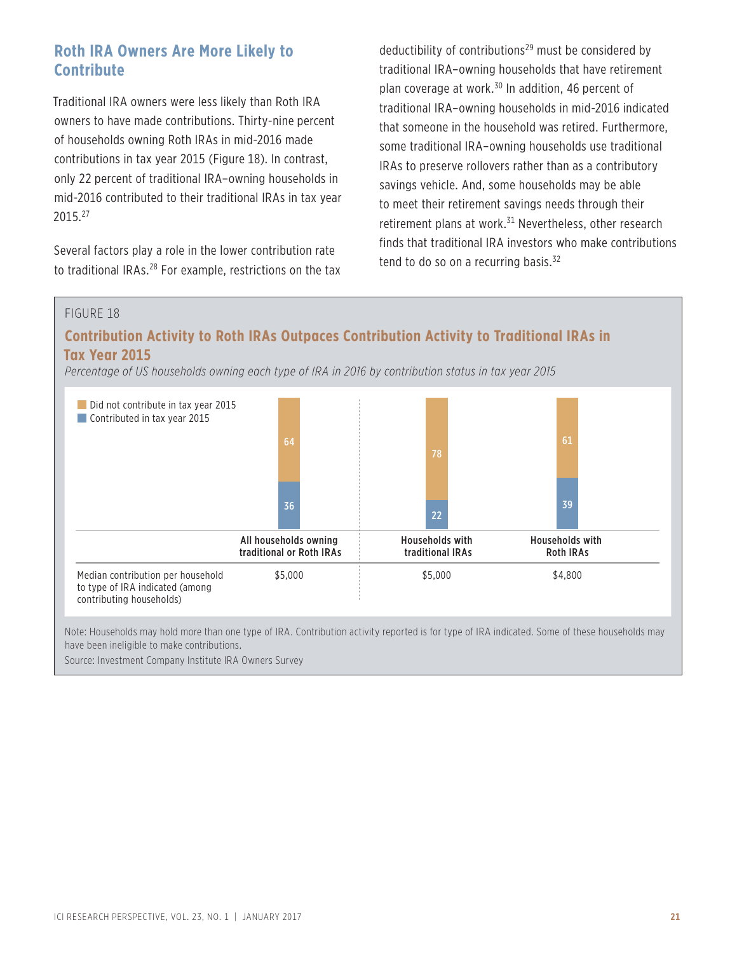## **Roth IRA Owners Are More Likely to Contribute**

Traditional IRA owners were less likely than Roth IRA owners to have made contributions. Thirty-nine percent of households owning Roth IRAs in mid-2016 made contributions in tax year 2015 (Figure 18). In contrast, only 22 percent of traditional IRA–owning households in mid-2016 contributed to their traditional IRAs in tax year 2015.27

Several factors play a role in the lower contribution rate to traditional IRAs.<sup>28</sup> For example, restrictions on the tax deductibility of contributions $29$  must be considered by traditional IRA–owning households that have retirement plan coverage at work.30 In addition, 46 percent of traditional IRA–owning households in mid-2016 indicated that someone in the household was retired. Furthermore, some traditional IRA–owning households use traditional IRAs to preserve rollovers rather than as a contributory savings vehicle. And, some households may be able to meet their retirement savings needs through their retirement plans at work.<sup>31</sup> Nevertheless, other research finds that traditional IRA investors who make contributions tend to do so on a recurring basis.<sup>32</sup>

#### FIGURE 18

## **Contribution Activity to Roth IRAs Outpaces Contribution Activity to Traditional IRAs in Tax Year 2015**

*Percentage of US households owning each type of IRA in 2016 by contribution status in tax year 2015*



Note: Households may hold more than one type of IRA. Contribution activity reported is for type of IRA indicated. Some of these households may have been ineligible to make contributions.

Source: Investment Company Institute IRA Owners Survey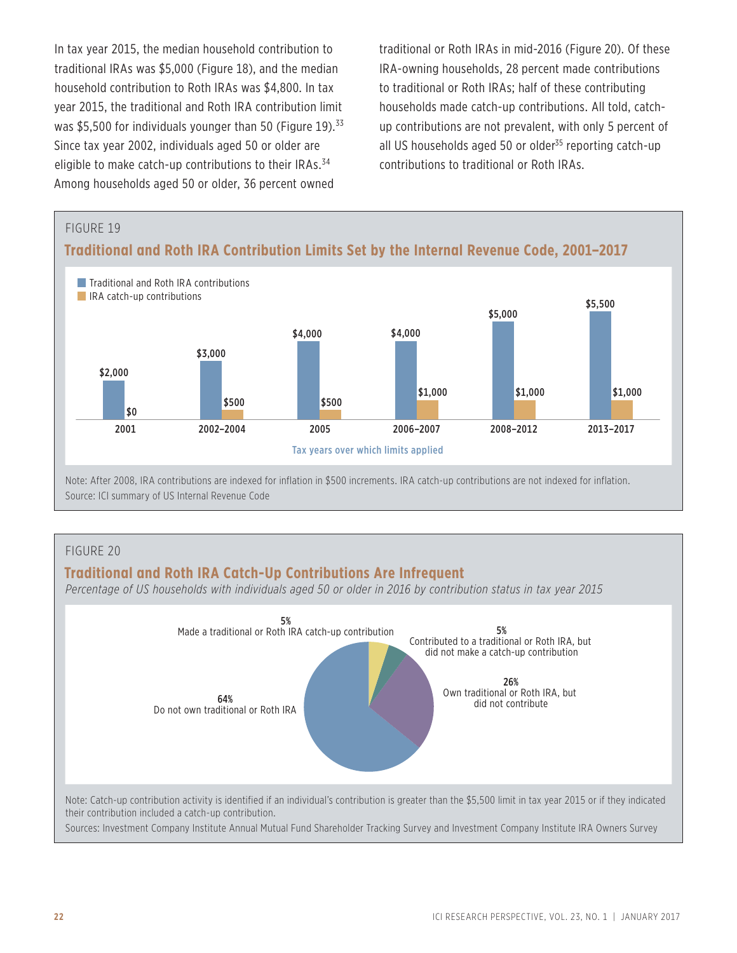In tax year 2015, the median household contribution to traditional IRAs was \$5,000 (Figure 18), and the median household contribution to Roth IRAs was \$4,800. In tax year 2015, the traditional and Roth IRA contribution limit was \$5,500 for individuals younger than 50 (Figure 19).<sup>33</sup> Since tax year 2002, individuals aged 50 or older are eligible to make catch-up contributions to their IRAs.<sup>34</sup> Among households aged 50 or older, 36 percent owned

traditional or Roth IRAs in mid-2016 (Figure 20). Of these IRA-owning households, 28 percent made contributions to traditional or Roth IRAs; half of these contributing households made catch-up contributions. All told, catchup contributions are not prevalent, with only 5 percent of all US households aged 50 or older $35$  reporting catch-up contributions to traditional or Roth IRAs.



#### FIGURE 20

#### **Traditional and Roth IRA Catch-Up Contributions Are Infrequent**

*Percentage of US households with individuals aged 50 or older in 2016 by contribution status in tax year 2015*

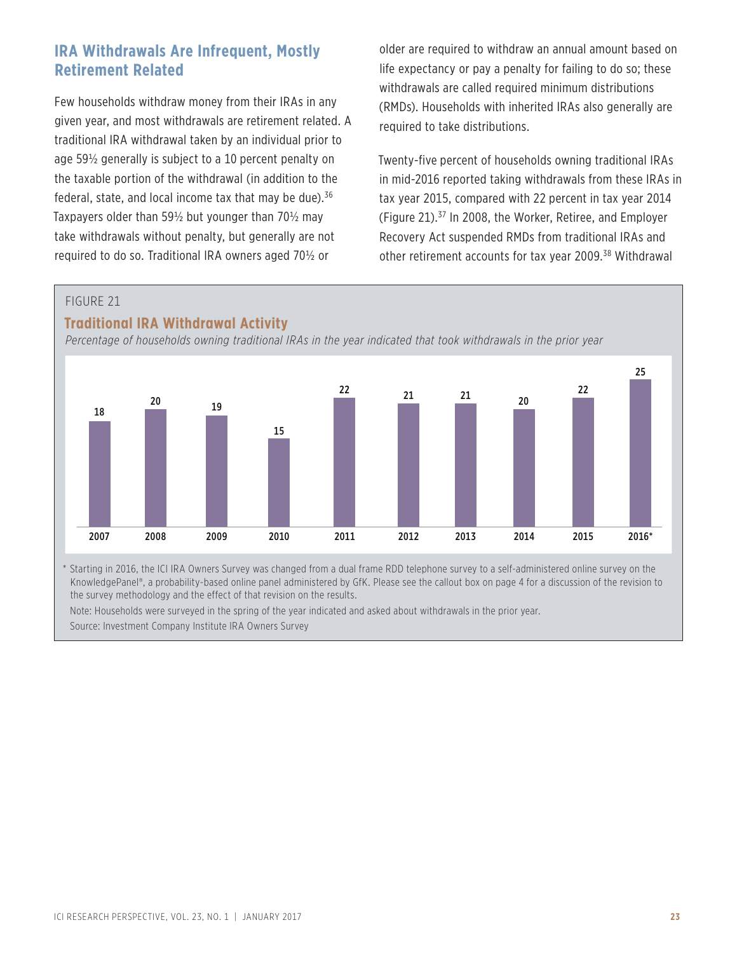## **IRA Withdrawals Are Infrequent, Mostly Retirement Related**

Few households withdraw money from their IRAs in any given year, and most withdrawals are retirement related. A traditional IRA withdrawal taken by an individual prior to age 59½ generally is subject to a 10 percent penalty on the taxable portion of the withdrawal (in addition to the federal, state, and local income tax that may be due).<sup>36</sup> Taxpayers older than 59½ but younger than 70½ may take withdrawals without penalty, but generally are not required to do so. Traditional IRA owners aged 70½ or

older are required to withdraw an annual amount based on life expectancy or pay a penalty for failing to do so; these withdrawals are called required minimum distributions (RMDs). Households with inherited IRAs also generally are required to take distributions.

Twenty-five percent of households owning traditional IRAs in mid-2016 reported taking withdrawals from these IRAs in tax year 2015, compared with 22 percent in tax year 2014 (Figure 21).37 In 2008, the Worker, Retiree, and Employer Recovery Act suspended RMDs from traditional IRAs and other retirement accounts for tax year 2009.38 Withdrawal

#### FIGURE 21

#### **Traditional IRA Withdrawal Activity**

*Percentage of households owning traditional IRAs in the year indicated that took withdrawals in the prior year*



\* Starting in 2016, the ICI IRA Owners Survey was changed from a dual frame RDD telephone survey to a self-administered online survey on the KnowledgePanel®, a probability-based online panel administered by GfK. Please see the callout box on page 4 for a discussion of the revision to the survey methodology and the effect of that revision on the results.

Note: Households were surveyed in the spring of the year indicated and asked about withdrawals in the prior year.

Source: Investment Company Institute IRA Owners Survey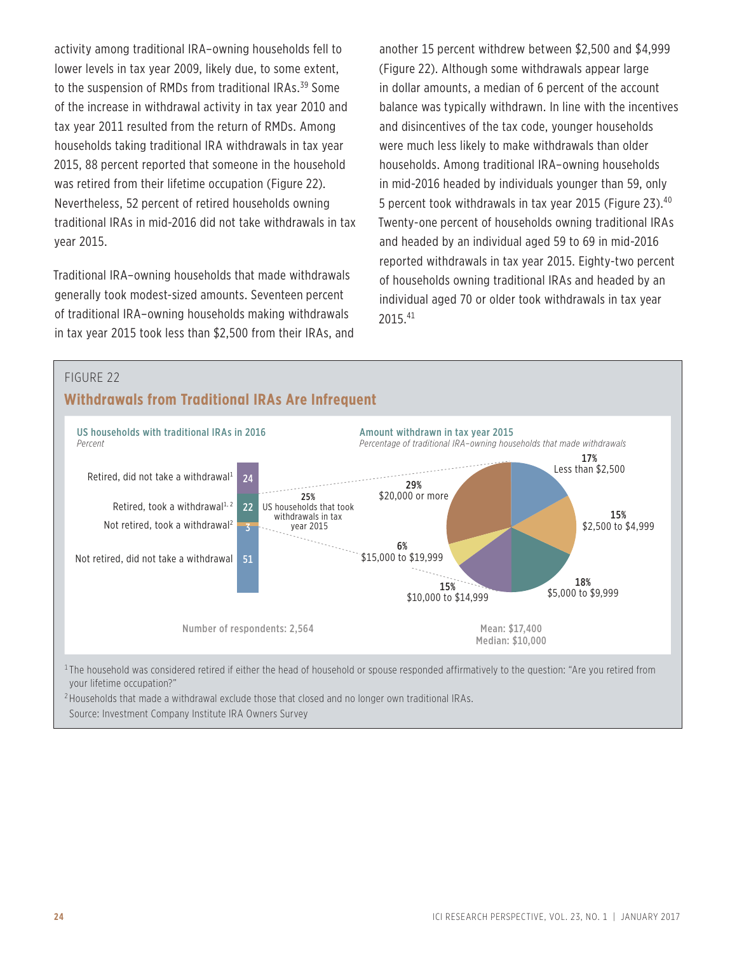activity among traditional IRA–owning households fell to lower levels in tax year 2009, likely due, to some extent, to the suspension of RMDs from traditional IRAs.<sup>39</sup> Some of the increase in withdrawal activity in tax year 2010 and tax year 2011 resulted from the return of RMDs. Among households taking traditional IRA withdrawals in tax year 2015, 88 percent reported that someone in the household was retired from their lifetime occupation (Figure 22). Nevertheless, 52 percent of retired households owning traditional IRAs in mid-2016 did not take withdrawals in tax year 2015.

Traditional IRA–owning households that made withdrawals generally took modest-sized amounts. Seventeen percent of traditional IRA–owning households making withdrawals in tax year 2015 took less than \$2,500 from their IRAs, and another 15 percent withdrew between \$2,500 and \$4,999 (Figure 22). Although some withdrawals appear large in dollar amounts, a median of 6 percent of the account balance was typically withdrawn. In line with the incentives and disincentives of the tax code, younger households were much less likely to make withdrawals than older households. Among traditional IRA–owning households in mid-2016 headed by individuals younger than 59, only 5 percent took withdrawals in tax year 2015 (Figure 23).40 Twenty-one percent of households owning traditional IRAs and headed by an individual aged 59 to 69 in mid-2016 reported withdrawals in tax year 2015. Eighty-two percent of households owning traditional IRAs and headed by an individual aged 70 or older took withdrawals in tax year 2015.41



your lifetime occupation?"

<sup>2</sup> Households that made a withdrawal exclude those that closed and no longer own traditional IRAs. Source: Investment Company Institute IRA Owners Survey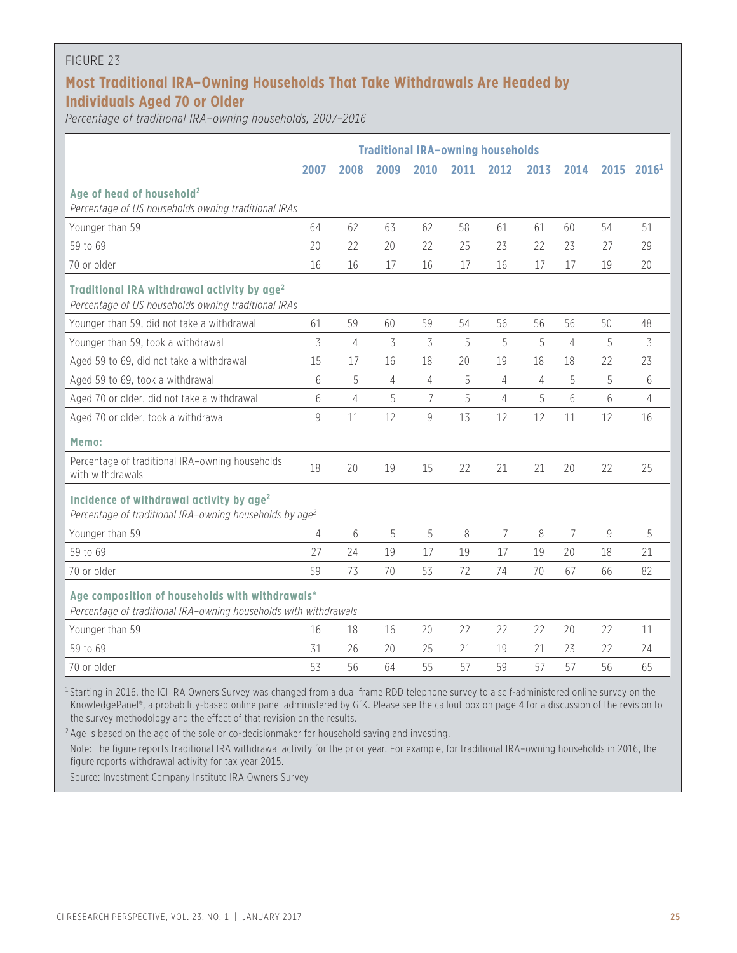#### FIGURE 23

## **Most Traditional IRA–Owning Households That Take Withdrawals Are Headed by Individuals Aged 70 or Older**

*Percentage of traditional IRA–owning households, 2007–2016*

|                                                                                                                                                         | <b>Traditional IRA-owning households</b> |                |                |                |      |                |                |                |      |                   |
|---------------------------------------------------------------------------------------------------------------------------------------------------------|------------------------------------------|----------------|----------------|----------------|------|----------------|----------------|----------------|------|-------------------|
|                                                                                                                                                         | 2007                                     | 2008           | 2009           | 2010           | 2011 | 2012           | 2013           | 2014           | 2015 | 2016 <sup>1</sup> |
| Age of head of household <sup>2</sup><br>Percentage of US households owning traditional IRAs                                                            |                                          |                |                |                |      |                |                |                |      |                   |
| Younger than 59                                                                                                                                         | 64                                       | 62             | 63             | 62             | 58   | 61             | 61             | 60             | 54   | 51                |
| 59 to 69                                                                                                                                                | 20                                       | 22             | 20             | 22             | 25   | 23             | 22             | 23             | 27   | 29                |
| 70 or older                                                                                                                                             | 16                                       | 16             | 17             | 16             | 17   | 16             | 17             | 17             | 19   | 20                |
| Traditional IRA withdrawal activity by age <sup>2</sup><br>Percentage of US households owning traditional IRAs                                          |                                          |                |                |                |      |                |                |                |      |                   |
| Younger than 59, did not take a withdrawal                                                                                                              | 61                                       | 59             | 60             | 59             | 54   | 56             | 56             | 56             | 50   | 48                |
| Younger than 59, took a withdrawal                                                                                                                      | 3                                        | $\overline{4}$ | 3              | 3              | 5    | 5              | 5              | 4              | 5    | 3                 |
| Aged 59 to 69, did not take a withdrawal                                                                                                                | 15                                       | 17             | 16             | 18             | 20   | 19             | 18             | 18             | 22   | 23                |
| Aged 59 to 69, took a withdrawal                                                                                                                        | 6                                        | 5              | $\overline{4}$ | 4              | 5    | $\overline{4}$ | $\overline{4}$ | 5              | 5    | 6                 |
| Aged 70 or older, did not take a withdrawal                                                                                                             | 6                                        | $\overline{4}$ | 5              | $\overline{7}$ | 5    | $\overline{4}$ | 5              | 6              | 6    | 4                 |
| Aged 70 or older, took a withdrawal                                                                                                                     | 9                                        | 11             | 12             | 9              | 13   | 12             | 12             | 11             | 12   | 16                |
| Memo:                                                                                                                                                   |                                          |                |                |                |      |                |                |                |      |                   |
| Percentage of traditional IRA-owning households<br>with withdrawals                                                                                     | 18                                       | 20             | 19             | 15             | 22   | 21             | 21             | 20             | 22   | 25                |
| Incidence of withdrawal activity by age <sup>2</sup><br>Percentage of traditional IRA-owning households by age <sup>2</sup>                             |                                          |                |                |                |      |                |                |                |      |                   |
| Younger than 59                                                                                                                                         | 4                                        | 6              | 5              | 5              | 8    | $\overline{7}$ | 8              | $\overline{7}$ | 9    | 5                 |
| 59 to 69                                                                                                                                                | 27                                       | 24             | 19             | 17             | 19   | 17             | 19             | 20             | 18   | 21                |
| 70 or older                                                                                                                                             | 59                                       | 73             | 70             | 53             | 72   | 74             | 70             | 67             | 66   | 82                |
| Age composition of households with withdrawals*<br>Percentage of traditional IRA-owning households with withdrawals                                     |                                          |                |                |                |      |                |                |                |      |                   |
| Younger than 59                                                                                                                                         | 16                                       | 18             | 16             | 20             | 22   | 22             | 22             | 20             | 22   | 11                |
| 59 to 69                                                                                                                                                | 31                                       | 26             | 20             | 25             | 21   | 19             | 21             | 23             | 22   | 24                |
| 70 or older                                                                                                                                             | 53                                       | 56             | 64             | 55             | 57   | 59             | 57             | 57             | 56   | 65                |
| <sup>1</sup> Starting in 2016, the ICI IRA Owners Survey was changed from a dual frame RDD telephone survey to a self-administered online survey on the |                                          |                |                |                |      |                |                |                |      |                   |

KnowledgePanel®, a probability-based online panel administered by GfK. Please see the callout box on page 4 for a discussion of the revision to the survey methodology and the effect of that revision on the results.

<sup>2</sup> Age is based on the age of the sole or co-decisionmaker for household saving and investing.

Note: The figure reports traditional IRA withdrawal activity for the prior year. For example, for traditional IRA–owning households in 2016, the figure reports withdrawal activity for tax year 2015.

Source: Investment Company Institute IRA Owners Survey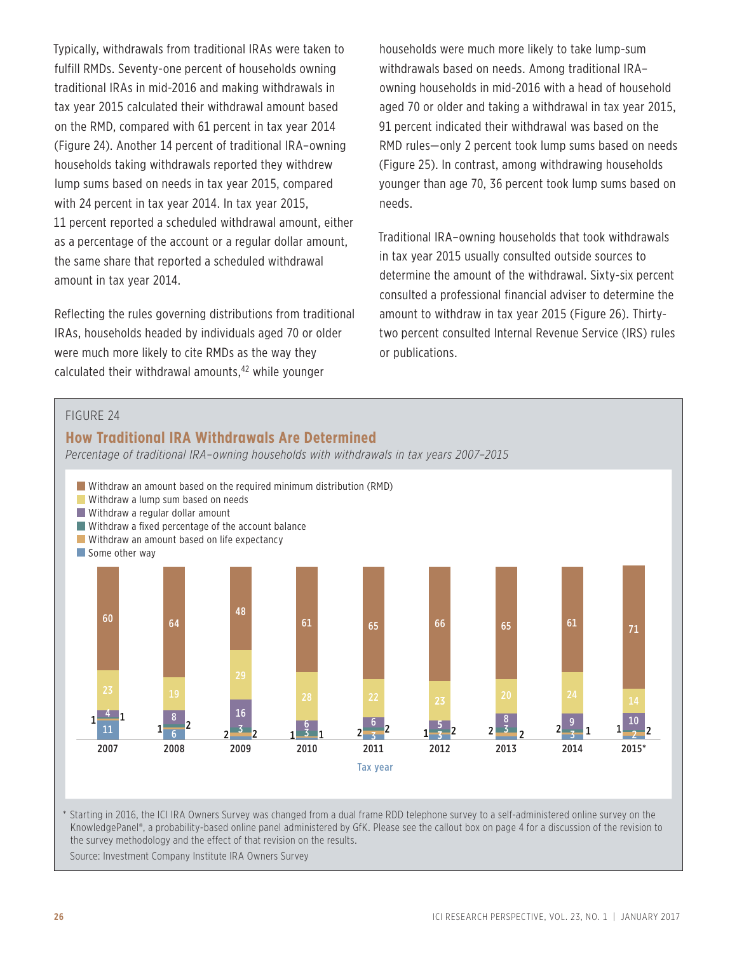Typically, withdrawals from traditional IRAs were taken to fulfill RMDs. Seventy-one percent of households owning traditional IRAs in mid-2016 and making withdrawals in tax year 2015 calculated their withdrawal amount based on the RMD, compared with 61 percent in tax year 2014 (Figure 24). Another 14 percent of traditional IRA–owning households taking withdrawals reported they withdrew lump sums based on needs in tax year 2015, compared with 24 percent in tax year 2014. In tax year 2015, 11 percent reported a scheduled withdrawal amount, either as a percentage of the account or a regular dollar amount, the same share that reported a scheduled withdrawal amount in tax year 2014.

Reflecting the rules governing distributions from traditional IRAs, households headed by individuals aged 70 or older were much more likely to cite RMDs as the way they calculated their withdrawal amounts,<sup>42</sup> while younger

households were much more likely to take lump-sum withdrawals based on needs. Among traditional IRA– owning households in mid-2016 with a head of household aged 70 or older and taking a withdrawal in tax year 2015, 91 percent indicated their withdrawal was based on the RMD rules—only 2 percent took lump sums based on needs (Figure 25). In contrast, among withdrawing households younger than age 70, 36 percent took lump sums based on needs.

Traditional IRA–owning households that took withdrawals in tax year 2015 usually consulted outside sources to determine the amount of the withdrawal. Sixty-six percent consulted a professional financial adviser to determine the amount to withdraw in tax year 2015 (Figure 26). Thirtytwo percent consulted Internal Revenue Service (IRS) rules or publications.





\* Starting in 2016, the ICI IRA Owners Survey was changed from a dual frame RDD telephone survey to a self-administered online survey on the KnowledgePanel®, a probability-based online panel administered by GfK. Please see the callout box on page 4 for a discussion of the revision to the survey methodology and the effect of that revision on the results.

Source: Investment Company Institute IRA Owners Survey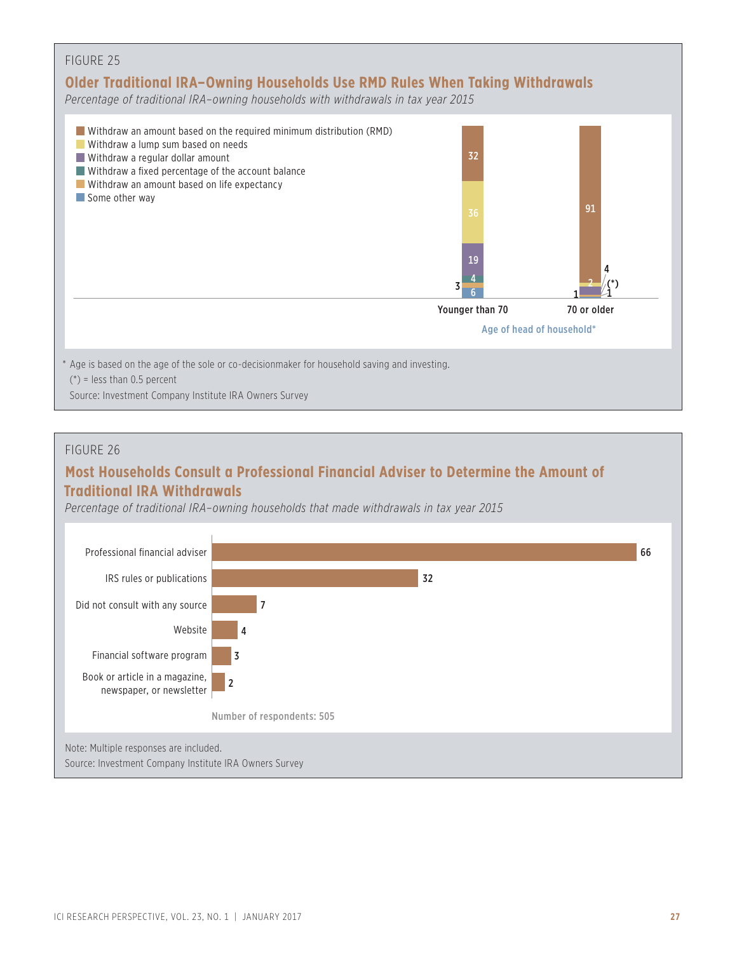

#### FIGURE 26

## **Most Households Consult a Professional Financial Adviser to Determine the Amount of Traditional IRA Withdrawals**

*Percentage of traditional IRA–owning households that made withdrawals in tax year 2015*

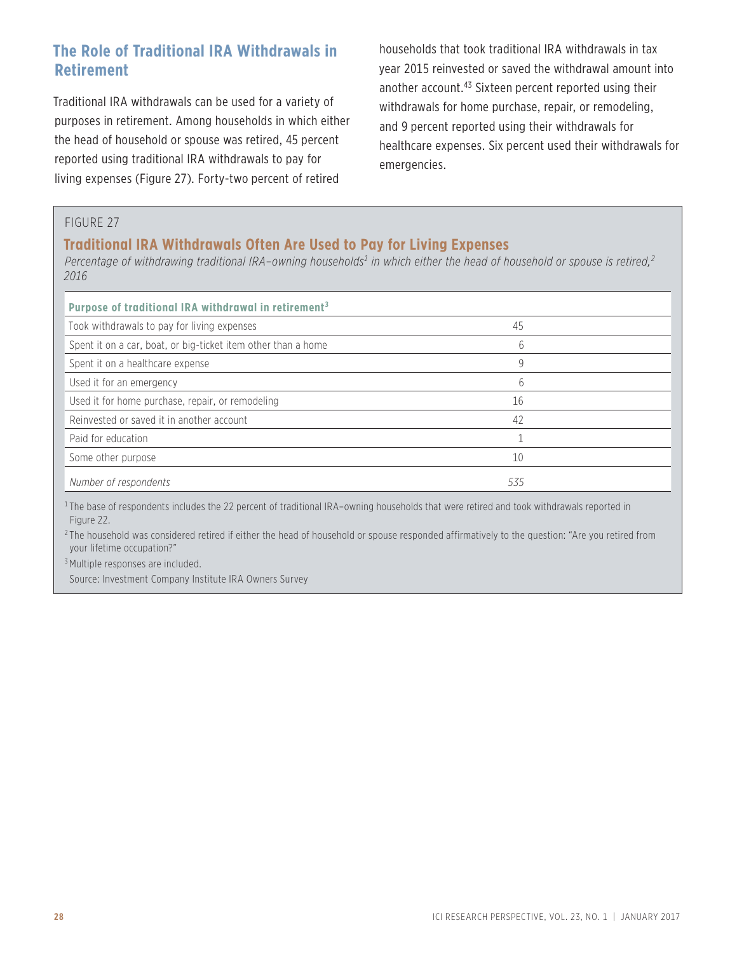## **The Role of Traditional IRA Withdrawals in Retirement**

Traditional IRA withdrawals can be used for a variety of purposes in retirement. Among households in which either the head of household or spouse was retired, 45 percent reported using traditional IRA withdrawals to pay for living expenses (Figure 27). Forty-two percent of retired

households that took traditional IRA withdrawals in tax year 2015 reinvested or saved the withdrawal amount into another account.43 Sixteen percent reported using their withdrawals for home purchase, repair, or remodeling, and 9 percent reported using their withdrawals for healthcare expenses. Six percent used their withdrawals for emergencies.

#### FIGURE 27

#### **Traditional IRA Withdrawals Often Are Used to Pay for Living Expenses**

Percentage of withdrawing traditional IRA–owning households<sup>1</sup> in which either the head of household or spouse is retired,<sup>2</sup> *2016* 

| Purpose of traditional IRA withdrawal in retirement <sup>3</sup> |     |  |
|------------------------------------------------------------------|-----|--|
| Took withdrawals to pay for living expenses                      | 45  |  |
| Spent it on a car, boat, or big-ticket item other than a home    | 6   |  |
| Spent it on a healthcare expense                                 | 9   |  |
| Used it for an emergency                                         | 6   |  |
| Used it for home purchase, repair, or remodeling                 | 16  |  |
| Reinvested or saved it in another account                        | 42  |  |
| Paid for education                                               |     |  |
| Some other purpose                                               | 10  |  |
| Number of respondents                                            | 535 |  |

<sup>1</sup>The base of respondents includes the 22 percent of traditional IRA-owning households that were retired and took withdrawals reported in Figure 22.

 $2$ The household was considered retired if either the head of household or spouse responded affirmatively to the question: "Are you retired from your lifetime occupation?"

<sup>3</sup> Multiple responses are included.

Source: Investment Company Institute IRA Owners Survey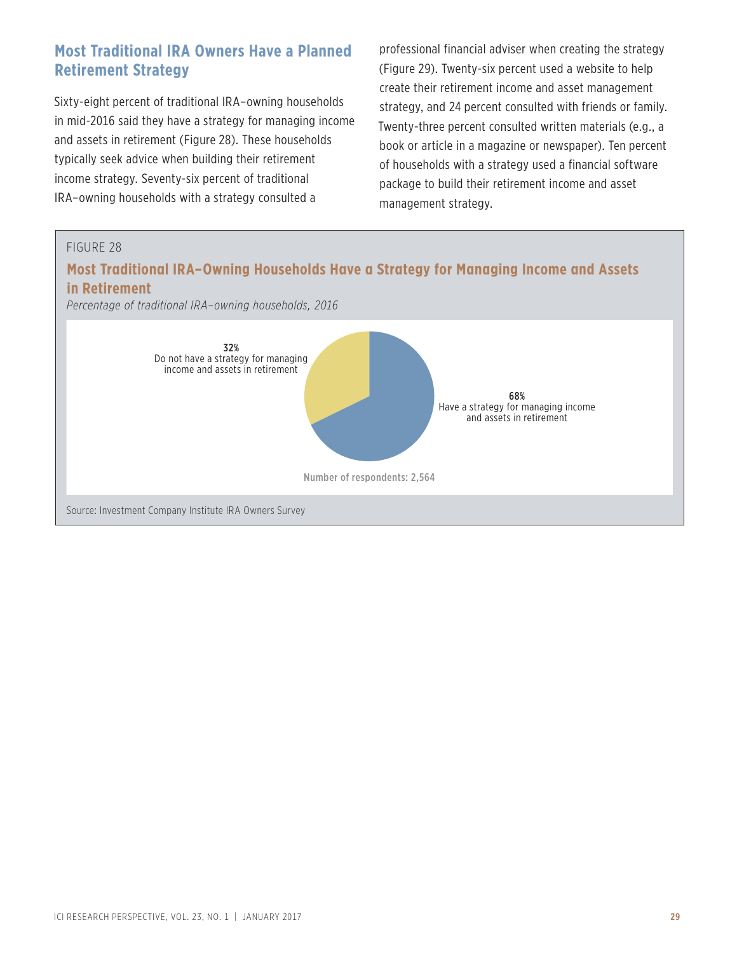## **Most Traditional IRA Owners Have a Planned Retirement Strategy**

Sixty-eight percent of traditional IRA–owning households in mid-2016 said they have a strategy for managing income and assets in retirement (Figure 28). These households typically seek advice when building their retirement income strategy. Seventy-six percent of traditional IRA–owning households with a strategy consulted a

professional financial adviser when creating the strategy (Figure 29). Twenty-six percent used a website to help create their retirement income and asset management strategy, and 24 percent consulted with friends or family. Twenty-three percent consulted written materials (e.g., a book or article in a magazine or newspaper). Ten percent of households with a strategy used a financial software package to build their retirement income and asset management strategy.

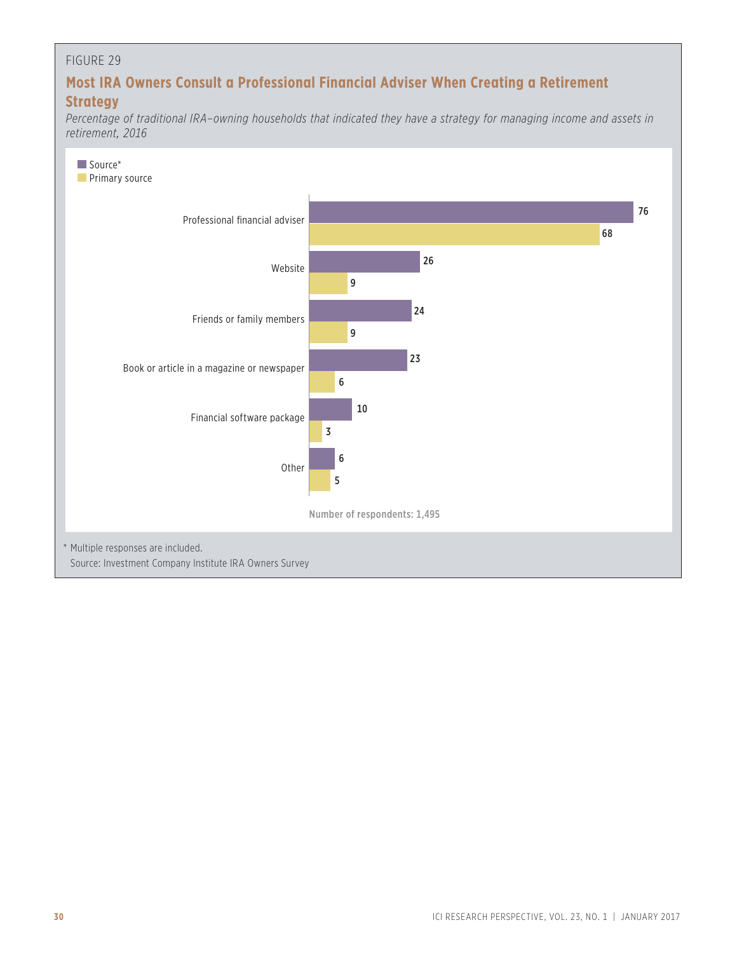#### FIGURE 29

## **Most IRA Owners Consult a Professional Financial Adviser When Creating a Retirement Strategy**

*Percentage of traditional IRA–owning households that indicated they have a strategy for managing income and assets in retirement, 2016*

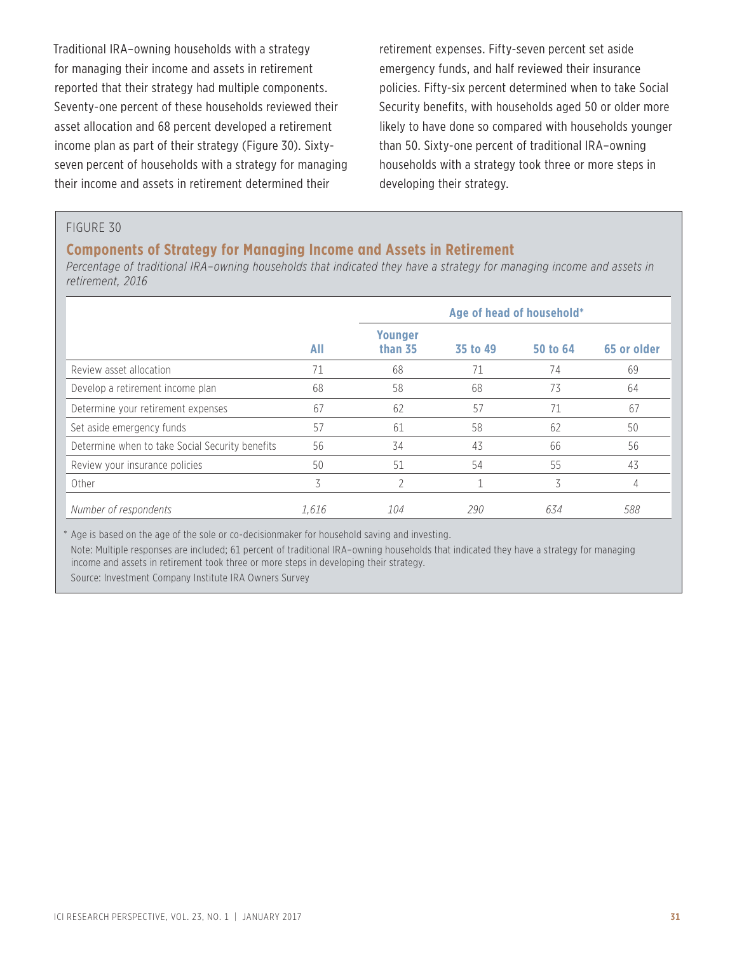Traditional IRA–owning households with a strategy for managing their income and assets in retirement reported that their strategy had multiple components. Seventy-one percent of these households reviewed their asset allocation and 68 percent developed a retirement income plan as part of their strategy (Figure 30). Sixtyseven percent of households with a strategy for managing their income and assets in retirement determined their

retirement expenses. Fifty-seven percent set aside emergency funds, and half reviewed their insurance policies. Fifty-six percent determined when to take Social Security benefits, with households aged 50 or older more likely to have done so compared with households younger than 50. Sixty-one percent of traditional IRA–owning households with a strategy took three or more steps in developing their strategy.

#### FIGURE 30

#### **Components of Strategy for Managing Income and Assets in Retirement**

*Percentage of traditional IRA–owning households that indicated they have a strategy for managing income and assets in retirement, 2016* 

|                                                 |       | Age of head of household* |          |          |             |  |  |
|-------------------------------------------------|-------|---------------------------|----------|----------|-------------|--|--|
|                                                 | All   | <b>Younger</b><br>than 35 | 35 to 49 | 50 to 64 | 65 or older |  |  |
| Review asset allocation                         | 71    | 68                        |          | 74       | 69          |  |  |
| Develop a retirement income plan                | 68    | 58                        | 68       | 73       | 64          |  |  |
| Determine your retirement expenses              | 67    | 62                        | 57       | 71       | 67          |  |  |
| Set aside emergency funds                       | 57    | 61                        | 58       | 62       | 50          |  |  |
| Determine when to take Social Security benefits | 56    | 34                        | 43       | 66       | 56          |  |  |
| Review your insurance policies                  | 50    | 51                        | 54       | 55       | 43          |  |  |
| Other                                           | 3     | っ                         |          | 3        | 4           |  |  |
| Number of respondents                           | 1.616 | 104                       | 290      | 634      | 588         |  |  |

\* Age is based on the age of the sole or co-decisionmaker for household saving and investing. Note: Multiple responses are included; 61 percent of traditional IRA–owning households that indicated they have a strategy for managing income and assets in retirement took three or more steps in developing their strategy. Source: Investment Company Institute IRA Owners Survey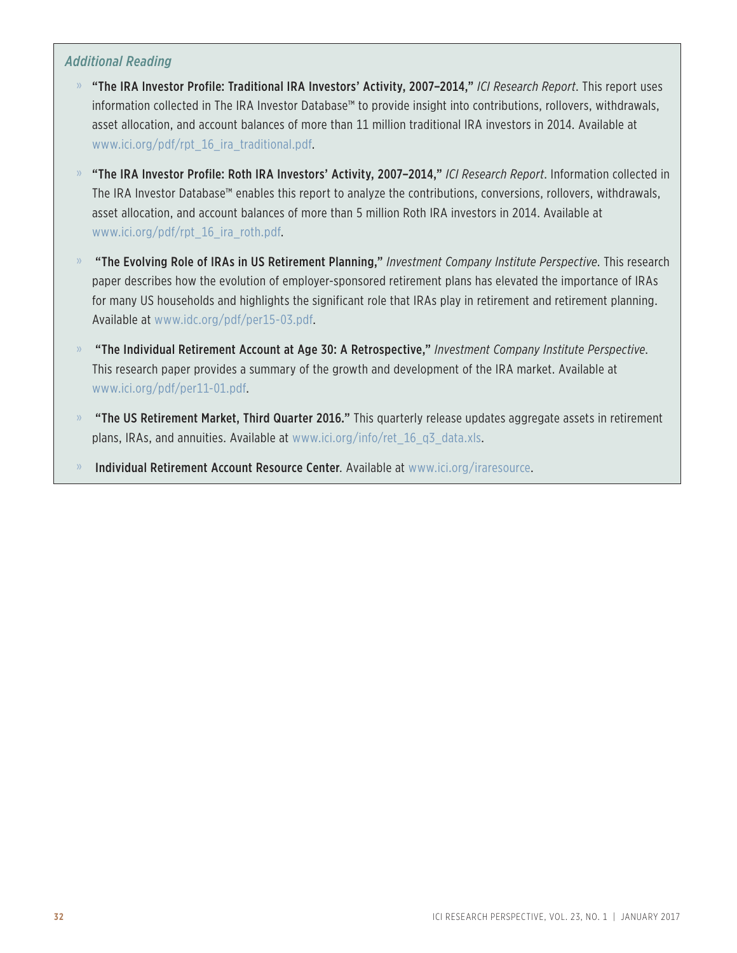#### *Additional Reading*

- » "The IRA Investor Profile: Traditional IRA Investors' Activity, 2007–2014," *ICI Research Report*. This report uses information collected in The IRA Investor Database™ to provide insight into contributions, rollovers, withdrawals, asset allocation, and account balances of more than 11 million traditional IRA investors in 2014. Available at www.ici.org/pdf/rpt\_16\_ira\_traditional.pdf.
- » "The IRA Investor Profile: Roth IRA Investors' Activity, 2007–2014," *ICI Research Report*. Information collected in The IRA Investor Database™ enables this report to analyze the contributions, conversions, rollovers, withdrawals, asset allocation, and account balances of more than 5 million Roth IRA investors in 2014. Available at www.ici.org/pdf/rpt\_16\_ira\_roth.pdf.
- » "The Evolving Role of IRAs in US Retirement Planning," *Investment Company Institute Perspective*. This research paper describes how the evolution of employer-sponsored retirement plans has elevated the importance of IRAs for many US households and highlights the significant role that IRAs play in retirement and retirement planning. Available at www.idc.org/pdf/per15-03.pdf.
- » "The Individual Retirement Account at Age 30: A Retrospective," *Investment Company Institute Perspective*. This research paper provides a summary of the growth and development of the IRA market. Available at www.ici.org/pdf/per11-01.pdf.
- » "The US Retirement Market, Third Quarter 2016." This quarterly release updates aggregate assets in retirement plans, IRAs, and annuities. Available at www.ici.org/info/ret\_16\_q3\_data.xls.
- » Individual Retirement Account Resource Center. Available at www.ici.org/iraresource.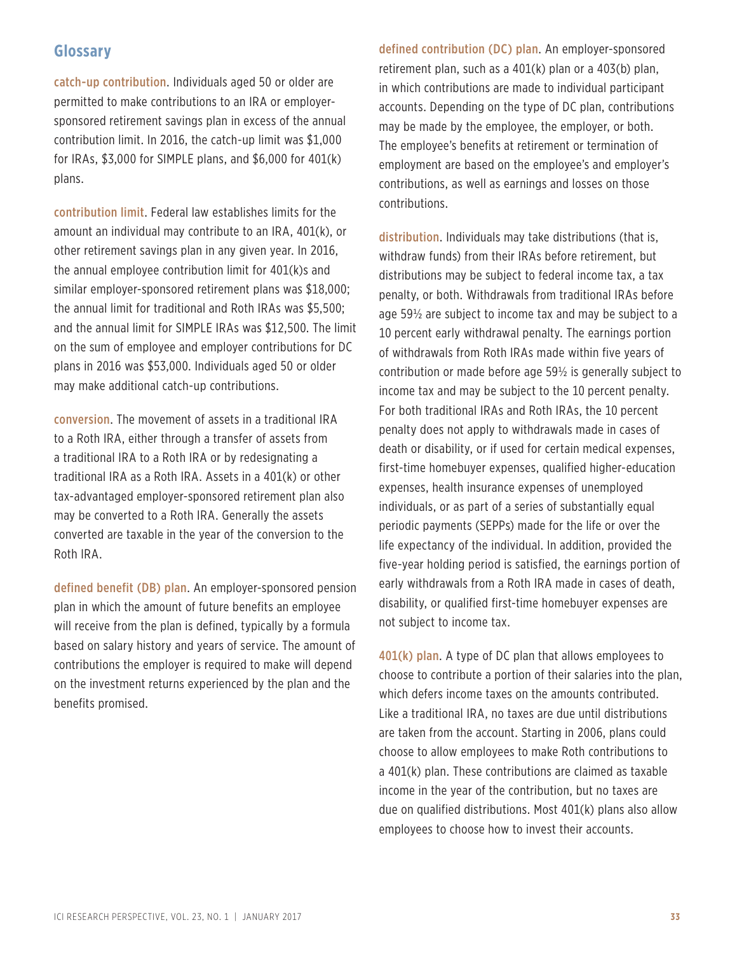## **Glossary**

catch-up contribution. Individuals aged 50 or older are permitted to make contributions to an IRA or employersponsored retirement savings plan in excess of the annual contribution limit. In 2016, the catch-up limit was \$1,000 for IRAs, \$3,000 for SIMPLE plans, and \$6,000 for 401(k) plans.

contribution limit. Federal law establishes limits for the amount an individual may contribute to an IRA, 401(k), or other retirement savings plan in any given year. In 2016, the annual employee contribution limit for 401(k)s and similar employer-sponsored retirement plans was \$18,000; the annual limit for traditional and Roth IRAs was \$5,500; and the annual limit for SIMPLE IRAs was \$12,500. The limit on the sum of employee and employer contributions for DC plans in 2016 was \$53,000. Individuals aged 50 or older may make additional catch-up contributions.

conversion. The movement of assets in a traditional IRA to a Roth IRA, either through a transfer of assets from a traditional IRA to a Roth IRA or by redesignating a traditional IRA as a Roth IRA. Assets in a 401(k) or other tax-advantaged employer-sponsored retirement plan also may be converted to a Roth IRA. Generally the assets converted are taxable in the year of the conversion to the Roth IRA.

defined benefit (DB) plan. An employer-sponsored pension plan in which the amount of future benefits an employee will receive from the plan is defined, typically by a formula based on salary history and years of service. The amount of contributions the employer is required to make will depend on the investment returns experienced by the plan and the benefits promised.

defined contribution (DC) plan. An employer-sponsored retirement plan, such as a 401(k) plan or a 403(b) plan, in which contributions are made to individual participant accounts. Depending on the type of DC plan, contributions may be made by the employee, the employer, or both. The employee's benefits at retirement or termination of employment are based on the employee's and employer's contributions, as well as earnings and losses on those contributions.

distribution. Individuals may take distributions (that is, withdraw funds) from their IRAs before retirement, but distributions may be subject to federal income tax, a tax penalty, or both. Withdrawals from traditional IRAs before age 59½ are subject to income tax and may be subject to a 10 percent early withdrawal penalty. The earnings portion of withdrawals from Roth IRAs made within five years of contribution or made before age 59½ is generally subject to income tax and may be subject to the 10 percent penalty. For both traditional IRAs and Roth IRAs, the 10 percent penalty does not apply to withdrawals made in cases of death or disability, or if used for certain medical expenses, first-time homebuyer expenses, qualified higher-education expenses, health insurance expenses of unemployed individuals, or as part of a series of substantially equal periodic payments (SEPPs) made for the life or over the life expectancy of the individual. In addition, provided the five-year holding period is satisfied, the earnings portion of early withdrawals from a Roth IRA made in cases of death, disability, or qualified first-time homebuyer expenses are not subject to income tax.

401(k) plan. A type of DC plan that allows employees to choose to contribute a portion of their salaries into the plan, which defers income taxes on the amounts contributed. Like a traditional IRA, no taxes are due until distributions are taken from the account. Starting in 2006, plans could choose to allow employees to make Roth contributions to a 401(k) plan. These contributions are claimed as taxable income in the year of the contribution, but no taxes are due on qualified distributions. Most 401(k) plans also allow employees to choose how to invest their accounts.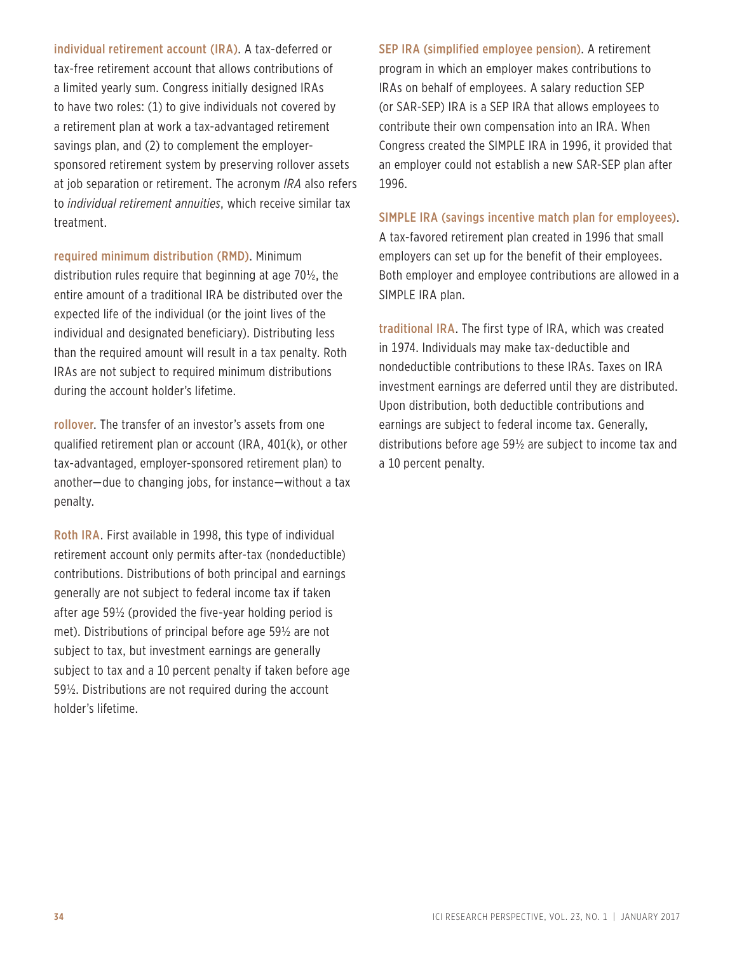individual retirement account (IRA). A tax-deferred or tax-free retirement account that allows contributions of a limited yearly sum. Congress initially designed IRAs to have two roles: (1) to give individuals not covered by a retirement plan at work a tax-advantaged retirement savings plan, and (2) to complement the employersponsored retirement system by preserving rollover assets at job separation or retirement. The acronym *IRA* also refers to *individual retirement annuities*, which receive similar tax treatment.

required minimum distribution (RMD). Minimum distribution rules require that beginning at age 70½, the entire amount of a traditional IRA be distributed over the expected life of the individual (or the joint lives of the individual and designated beneficiary). Distributing less than the required amount will result in a tax penalty. Roth IRAs are not subject to required minimum distributions during the account holder's lifetime.

rollover. The transfer of an investor's assets from one qualified retirement plan or account (IRA, 401(k), or other tax-advantaged, employer-sponsored retirement plan) to another—due to changing jobs, for instance—without a tax penalty.

Roth IRA. First available in 1998, this type of individual retirement account only permits after-tax (nondeductible) contributions. Distributions of both principal and earnings generally are not subject to federal income tax if taken after age 59½ (provided the five-year holding period is met). Distributions of principal before age 59½ are not subject to tax, but investment earnings are generally subject to tax and a 10 percent penalty if taken before age 59½. Distributions are not required during the account holder's lifetime.

SEP IRA (simplified employee pension). A retirement program in which an employer makes contributions to IRAs on behalf of employees. A salary reduction SEP (or SAR-SEP) IRA is a SEP IRA that allows employees to contribute their own compensation into an IRA. When Congress created the SIMPLE IRA in 1996, it provided that an employer could not establish a new SAR-SEP plan after 1996.

SIMPLE IRA (savings incentive match plan for employees).

A tax-favored retirement plan created in 1996 that small employers can set up for the benefit of their employees. Both employer and employee contributions are allowed in a SIMPLE IRA plan.

traditional IRA. The first type of IRA, which was created in 1974. Individuals may make tax-deductible and nondeductible contributions to these IRAs. Taxes on IRA investment earnings are deferred until they are distributed. Upon distribution, both deductible contributions and earnings are subject to federal income tax. Generally, distributions before age 59½ are subject to income tax and a 10 percent penalty.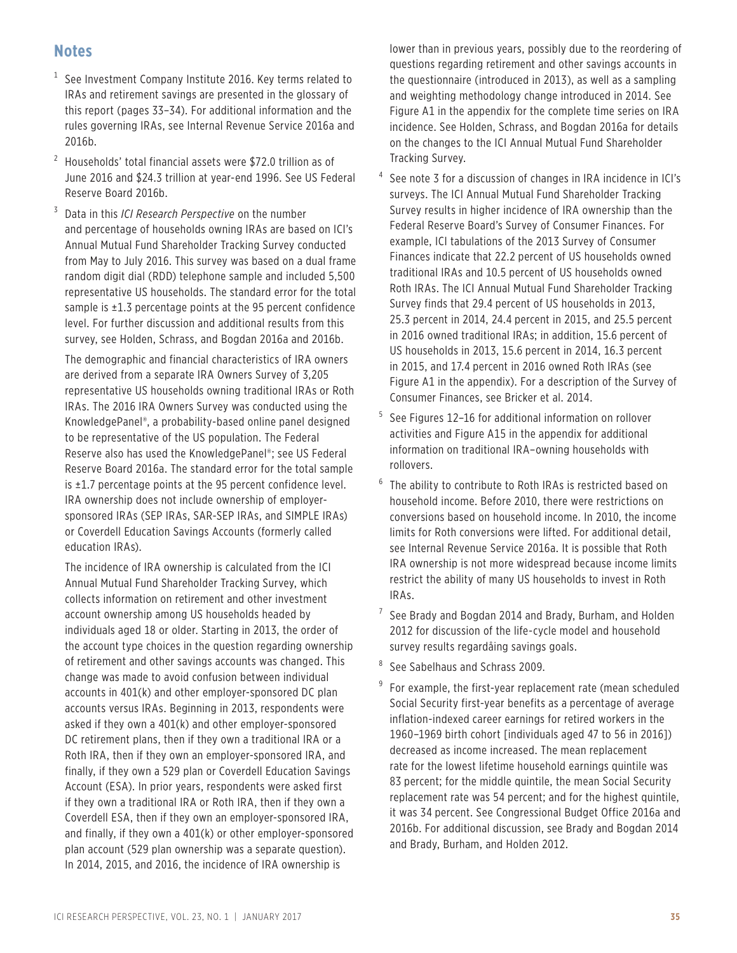## **Notes**

- $1$  See Investment Company Institute 2016. Key terms related to IRAs and retirement savings are presented in the glossary of this report (pages 33–34). For additional information and the rules governing IRAs, see Internal Revenue Service 2016a and 2016b.
- $^2$  Households' total financial assets were \$72.0 trillion as of June 2016 and \$24.3 trillion at year-end 1996. See US Federal Reserve Board 2016b.
- 3 Data in this *ICI Research Perspective* on the number and percentage of households owning IRAs are based on ICI's Annual Mutual Fund Shareholder Tracking Survey conducted from May to July 2016. This survey was based on a dual frame random digit dial (RDD) telephone sample and included 5,500 representative US households. The standard error for the total sample is ±1.3 percentage points at the 95 percent confidence level. For further discussion and additional results from this survey, see Holden, Schrass, and Bogdan 2016a and 2016b.

The demographic and financial characteristics of IRA owners are derived from a separate IRA Owners Survey of 3,205 representative US households owning traditional IRAs or Roth IRAs. The 2016 IRA Owners Survey was conducted using the KnowledgePanel®, a probability-based online panel designed to be representative of the US population. The Federal Reserve also has used the KnowledgePanel®; see US Federal Reserve Board 2016a. The standard error for the total sample is  $\pm$ 1.7 percentage points at the 95 percent confidence level. IRA ownership does not include ownership of employersponsored IRAs (SEP IRAs, SAR-SEP IRAs, and SIMPLE IRAs) or Coverdell Education Savings Accounts (formerly called education IRAs).

The incidence of IRA ownership is calculated from the ICI Annual Mutual Fund Shareholder Tracking Survey, which collects information on retirement and other investment account ownership among US households headed by individuals aged 18 or older. Starting in 2013, the order of the account type choices in the question regarding ownership of retirement and other savings accounts was changed. This change was made to avoid confusion between individual accounts in 401(k) and other employer-sponsored DC plan accounts versus IRAs. Beginning in 2013, respondents were asked if they own a 401(k) and other employer-sponsored DC retirement plans, then if they own a traditional IRA or a Roth IRA, then if they own an employer-sponsored IRA, and finally, if they own a 529 plan or Coverdell Education Savings Account (ESA). In prior years, respondents were asked first if they own a traditional IRA or Roth IRA, then if they own a Coverdell ESA, then if they own an employer-sponsored IRA, and finally, if they own a 401(k) or other employer-sponsored plan account (529 plan ownership was a separate question). In 2014, 2015, and 2016, the incidence of IRA ownership is

lower than in previous years, possibly due to the reordering of questions regarding retirement and other savings accounts in the questionnaire (introduced in 2013), as well as a sampling and weighting methodology change introduced in 2014. See Figure A1 in the appendix for the complete time series on IRA incidence. See Holden, Schrass, and Bogdan 2016a for details on the changes to the ICI Annual Mutual Fund Shareholder Tracking Survey.

- 4 See note 3 for a discussion of changes in IRA incidence in ICI's surveys. The ICI Annual Mutual Fund Shareholder Tracking Survey results in higher incidence of IRA ownership than the Federal Reserve Board's Survey of Consumer Finances. For example, ICI tabulations of the 2013 Survey of Consumer Finances indicate that 22.2 percent of US households owned traditional IRAs and 10.5 percent of US households owned Roth IRAs. The ICI Annual Mutual Fund Shareholder Tracking Survey finds that 29.4 percent of US households in 2013, 25.3 percent in 2014, 24.4 percent in 2015, and 25.5 percent in 2016 owned traditional IRAs; in addition, 15.6 percent of US households in 2013, 15.6 percent in 2014, 16.3 percent in 2015, and 17.4 percent in 2016 owned Roth IRAs (see Figure A1 in the appendix). For a description of the Survey of Consumer Finances, see Bricker et al. 2014.
- 5 See Figures 12–16 for additional information on rollover activities and Figure A15 in the appendix for additional information on traditional IRA–owning households with rollovers.
- $6$  The ability to contribute to Roth IRAs is restricted based on household income. Before 2010, there were restrictions on conversions based on household income. In 2010, the income limits for Roth conversions were lifted. For additional detail, see Internal Revenue Service 2016a. It is possible that Roth IRA ownership is not more widespread because income limits restrict the ability of many US households to invest in Roth IRAs.
- <sup>7</sup> See Brady and Bogdan 2014 and Brady, Burham, and Holden 2012 for discussion of the life-cycle model and household survey results regardåing savings goals.
- <sup>8</sup> See Sabelhaus and Schrass 2009.
- 9 For example, the first-year replacement rate (mean scheduled Social Security first-year benefits as a percentage of average inflation-indexed career earnings for retired workers in the 1960–1969 birth cohort [individuals aged 47 to 56 in 2016]) decreased as income increased. The mean replacement rate for the lowest lifetime household earnings quintile was 83 percent; for the middle quintile, the mean Social Security replacement rate was 54 percent; and for the highest quintile, it was 34 percent. See Congressional Budget Office 2016a and 2016b. For additional discussion, see Brady and Bogdan 2014 and Brady, Burham, and Holden 2012.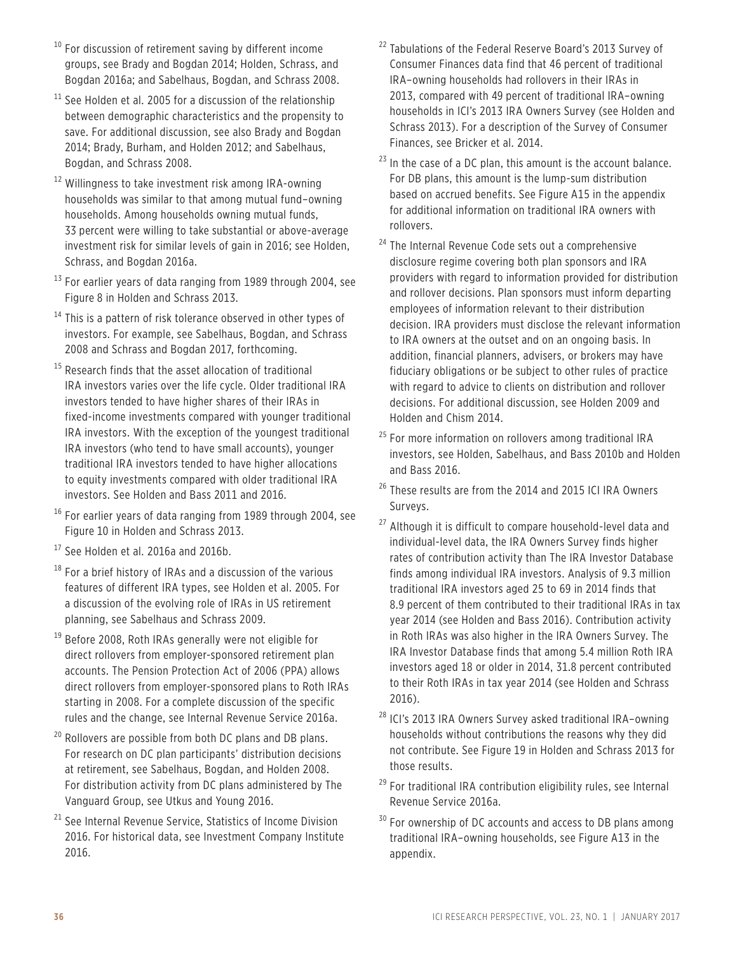- $10$  For discussion of retirement saving by different income groups, see Brady and Bogdan 2014; Holden, Schrass, and Bogdan 2016a; and Sabelhaus, Bogdan, and Schrass 2008.
- $11$  See Holden et al. 2005 for a discussion of the relationship between demographic characteristics and the propensity to save. For additional discussion, see also Brady and Bogdan 2014; Brady, Burham, and Holden 2012; and Sabelhaus, Bogdan, and Schrass 2008.
- $12$  Willingness to take investment risk among IRA-owning households was similar to that among mutual fund–owning households. Among households owning mutual funds, 33 percent were willing to take substantial or above-average investment risk for similar levels of gain in 2016; see Holden, Schrass, and Bogdan 2016a.
- $13$  For earlier years of data ranging from 1989 through 2004, see Figure 8 in Holden and Schrass 2013.
- $14$  This is a pattern of risk tolerance observed in other types of investors. For example, see Sabelhaus, Bogdan, and Schrass 2008 and Schrass and Bogdan 2017, forthcoming.
- <sup>15</sup> Research finds that the asset allocation of traditional IRA investors varies over the life cycle. Older traditional IRA investors tended to have higher shares of their IRAs in fixed-income investments compared with younger traditional IRA investors. With the exception of the youngest traditional IRA investors (who tend to have small accounts), younger traditional IRA investors tended to have higher allocations to equity investments compared with older traditional IRA investors. See Holden and Bass 2011 and 2016.
- $16$  For earlier years of data ranging from 1989 through 2004, see Figure 10 in Holden and Schrass 2013.
- $17$  See Holden et al. 2016a and 2016b.
- $18$  For a brief history of IRAs and a discussion of the various features of different IRA types, see Holden et al. 2005. For a discussion of the evolving role of IRAs in US retirement planning, see Sabelhaus and Schrass 2009.
- <sup>19</sup> Before 2008, Roth IRAs generally were not eligible for direct rollovers from employer-sponsored retirement plan accounts. The Pension Protection Act of 2006 (PPA) allows direct rollovers from employer-sponsored plans to Roth IRAs starting in 2008. For a complete discussion of the specific rules and the change, see Internal Revenue Service 2016a.
- <sup>20</sup> Rollovers are possible from both DC plans and DB plans. For research on DC plan participants' distribution decisions at retirement, see Sabelhaus, Bogdan, and Holden 2008. For distribution activity from DC plans administered by The Vanguard Group, see Utkus and Young 2016.
- <sup>21</sup> See Internal Revenue Service, Statistics of Income Division 2016. For historical data, see Investment Company Institute 2016.
- <sup>22</sup> Tabulations of the Federal Reserve Board's 2013 Survey of Consumer Finances data find that 46 percent of traditional IRA–owning households had rollovers in their IRAs in 2013, compared with 49 percent of traditional IRA–owning households in ICI's 2013 IRA Owners Survey (see Holden and Schrass 2013). For a description of the Survey of Consumer Finances, see Bricker et al. 2014.
- $23$  In the case of a DC plan, this amount is the account balance. For DB plans, this amount is the lump-sum distribution based on accrued benefits. See Figure A15 in the appendix for additional information on traditional IRA owners with rollovers.
- <sup>24</sup> The Internal Revenue Code sets out a comprehensive disclosure regime covering both plan sponsors and IRA providers with regard to information provided for distribution and rollover decisions. Plan sponsors must inform departing employees of information relevant to their distribution decision. IRA providers must disclose the relevant information to IRA owners at the outset and on an ongoing basis. In addition, financial planners, advisers, or brokers may have fiduciary obligations or be subject to other rules of practice with regard to advice to clients on distribution and rollover decisions. For additional discussion, see Holden 2009 and Holden and Chism 2014.
- <sup>25</sup> For more information on rollovers among traditional IRA investors, see Holden, Sabelhaus, and Bass 2010b and Holden and Bass 2016.
- <sup>26</sup> These results are from the 2014 and 2015 ICI IRA Owners Surveys.
- <sup>27</sup> Although it is difficult to compare household-level data and individual-level data, the IRA Owners Survey finds higher rates of contribution activity than The IRA Investor Database finds among individual IRA investors. Analysis of 9.3 million traditional IRA investors aged 25 to 69 in 2014 finds that 8.9 percent of them contributed to their traditional IRAs in tax year 2014 (see Holden and Bass 2016). Contribution activity in Roth IRAs was also higher in the IRA Owners Survey. The IRA Investor Database finds that among 5.4 million Roth IRA investors aged 18 or older in 2014, 31.8 percent contributed to their Roth IRAs in tax year 2014 (see Holden and Schrass 2016).
- <sup>28</sup> ICI's 2013 IRA Owners Survey asked traditional IRA-owning households without contributions the reasons why they did not contribute. See Figure 19 in Holden and Schrass 2013 for those results.
- $29$  For traditional IRA contribution eligibility rules, see Internal Revenue Service 2016a.
- <sup>30</sup> For ownership of DC accounts and access to DB plans among traditional IRA–owning households, see Figure A13 in the appendix.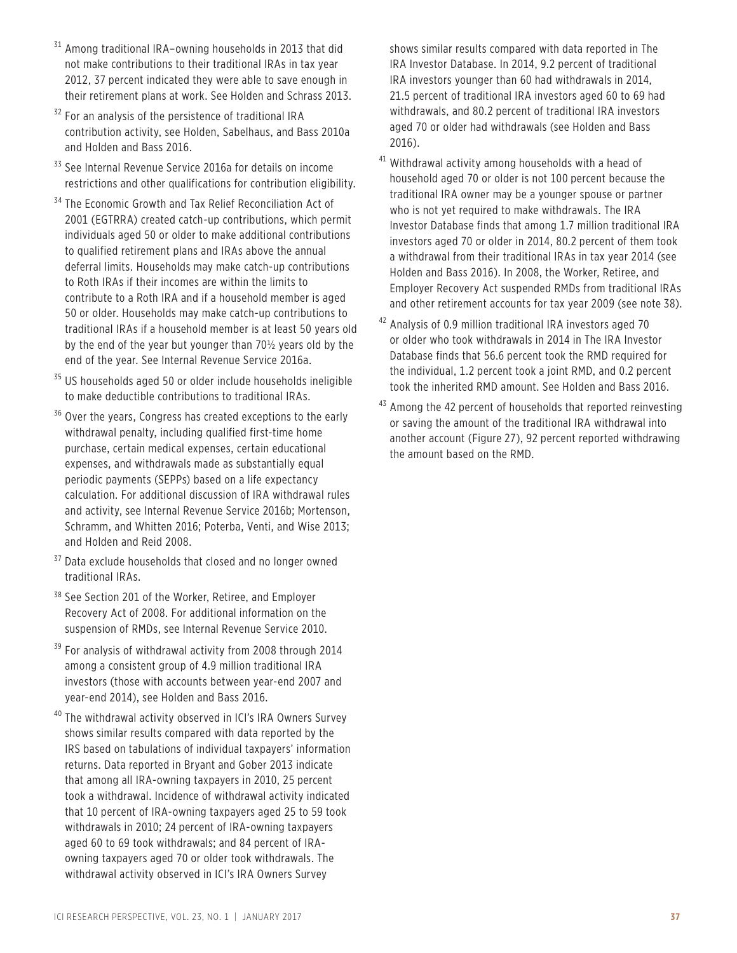- <sup>31</sup> Among traditional IRA-owning households in 2013 that did not make contributions to their traditional IRAs in tax year 2012, 37 percent indicated they were able to save enough in their retirement plans at work. See Holden and Schrass 2013.
- <sup>32</sup> For an analysis of the persistence of traditional IRA contribution activity, see Holden, Sabelhaus, and Bass 2010a and Holden and Bass 2016.
- <sup>33</sup> See Internal Revenue Service 2016a for details on income restrictions and other qualifications for contribution eligibility.
- <sup>34</sup> The Economic Growth and Tax Relief Reconciliation Act of 2001 (EGTRRA) created catch-up contributions, which permit individuals aged 50 or older to make additional contributions to qualified retirement plans and IRAs above the annual deferral limits. Households may make catch-up contributions to Roth IRAs if their incomes are within the limits to contribute to a Roth IRA and if a household member is aged 50 or older. Households may make catch-up contributions to traditional IRAs if a household member is at least 50 years old by the end of the year but younger than 70½ years old by the end of the year. See Internal Revenue Service 2016a.
- <sup>35</sup> US households aged 50 or older include households ineligible to make deductible contributions to traditional IRAs.
- <sup>36</sup> Over the years, Congress has created exceptions to the early withdrawal penalty, including qualified first-time home purchase, certain medical expenses, certain educational expenses, and withdrawals made as substantially equal periodic payments (SEPPs) based on a life expectancy calculation. For additional discussion of IRA withdrawal rules and activity, see Internal Revenue Service 2016b; Mortenson, Schramm, and Whitten 2016; Poterba, Venti, and Wise 2013; and Holden and Reid 2008.
- <sup>37</sup> Data exclude households that closed and no longer owned traditional IRAs.
- <sup>38</sup> See Section 201 of the Worker, Retiree, and Employer Recovery Act of 2008. For additional information on the suspension of RMDs, see Internal Revenue Service 2010.
- $39$  For analysis of withdrawal activity from 2008 through 2014 among a consistent group of 4.9 million traditional IRA investors (those with accounts between year-end 2007 and year-end 2014), see Holden and Bass 2016.
- <sup>40</sup> The withdrawal activity observed in ICI's IRA Owners Survey shows similar results compared with data reported by the IRS based on tabulations of individual taxpayers' information returns. Data reported in Bryant and Gober 2013 indicate that among all IRA-owning taxpayers in 2010, 25 percent took a withdrawal. Incidence of withdrawal activity indicated that 10 percent of IRA-owning taxpayers aged 25 to 59 took withdrawals in 2010; 24 percent of IRA-owning taxpayers aged 60 to 69 took withdrawals; and 84 percent of IRAowning taxpayers aged 70 or older took withdrawals. The withdrawal activity observed in ICI's IRA Owners Survey

shows similar results compared with data reported in The IRA Investor Database. In 2014, 9.2 percent of traditional IRA investors younger than 60 had withdrawals in 2014, 21.5 percent of traditional IRA investors aged 60 to 69 had withdrawals, and 80.2 percent of traditional IRA investors aged 70 or older had withdrawals (see Holden and Bass 2016).

- <sup>41</sup> Withdrawal activity among households with a head of household aged 70 or older is not 100 percent because the traditional IRA owner may be a younger spouse or partner who is not yet required to make withdrawals. The IRA Investor Database finds that among 1.7 million traditional IRA investors aged 70 or older in 2014, 80.2 percent of them took a withdrawal from their traditional IRAs in tax year 2014 (see Holden and Bass 2016). In 2008, the Worker, Retiree, and Employer Recovery Act suspended RMDs from traditional IRAs and other retirement accounts for tax year 2009 (see note 38).
- <sup>42</sup> Analysis of 0.9 million traditional IRA investors aged 70 or older who took withdrawals in 2014 in The IRA Investor Database finds that 56.6 percent took the RMD required for the individual, 1.2 percent took a joint RMD, and 0.2 percent took the inherited RMD amount. See Holden and Bass 2016.
- <sup>43</sup> Among the 42 percent of households that reported reinvesting or saving the amount of the traditional IRA withdrawal into another account (Figure 27), 92 percent reported withdrawing the amount based on the RMD.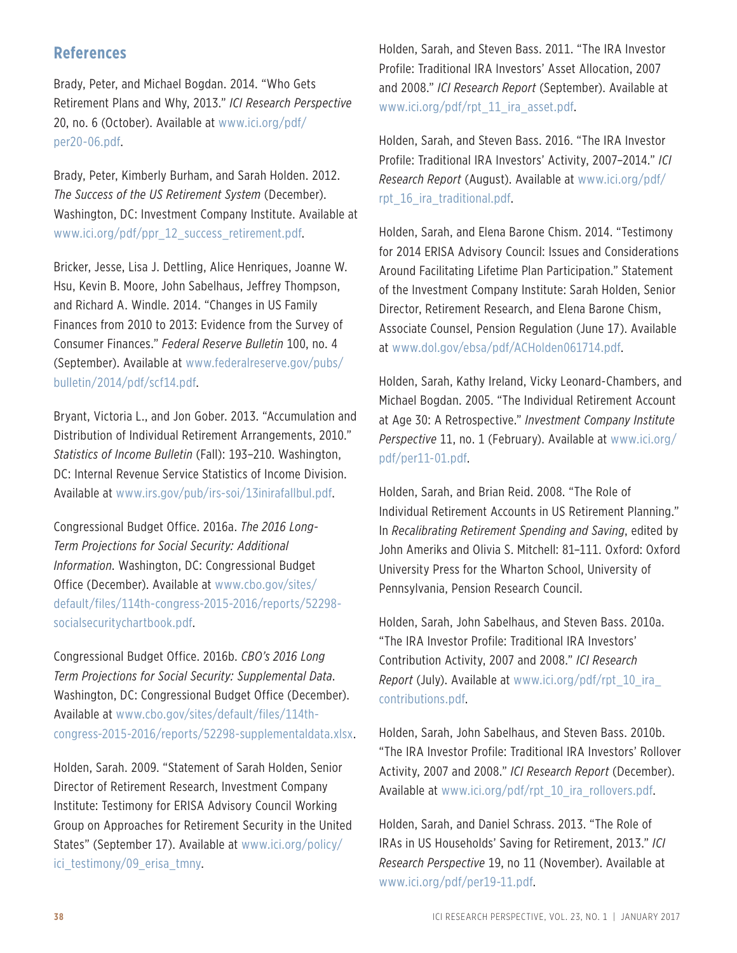### **References**

Brady, Peter, and Michael Bogdan. 2014. "Who Gets Retirement Plans and Why, 2013." *ICI Research Perspective* 20, no. 6 (October). Available at www.ici.org/pdf/ per20-06.pdf.

Brady, Peter, Kimberly Burham, and Sarah Holden. 2012. *The Success of the US Retirement System* (December). Washington, DC: Investment Company Institute. Available at www.ici.org/pdf/ppr\_12\_success\_retirement.pdf.

Bricker, Jesse, Lisa J. Dettling, Alice Henriques, Joanne W. Hsu, Kevin B. Moore, John Sabelhaus, Jeffrey Thompson, and Richard A. Windle. 2014. "Changes in US Family Finances from 2010 to 2013: Evidence from the Survey of Consumer Finances." *Federal Reserve Bulletin* 100, no. 4 (September). Available at www.federalreserve.gov/pubs/ bulletin/2014/pdf/scf14.pdf.

Bryant, Victoria L., and Jon Gober. 2013. "Accumulation and Distribution of Individual Retirement Arrangements, 2010." *Statistics of Income Bulletin* (Fall): 193–210. Washington, DC: Internal Revenue Service Statistics of Income Division. Available at www.irs.gov/pub/irs-soi/13inirafallbul.pdf.

Congressional Budget Office. 2016a. *The 2016 Long-Term Projections for Social Security: Additional Information*. Washington, DC: Congressional Budget Office (December). Available at www.cbo.gov/sites/ default/files/114th-congress-2015-2016/reports/52298 socialsecuritychartbook.pdf.

Congressional Budget Office. 2016b. *CBO's 2016 Long Term Projections for Social Security: Supplemental Data*. Washington, DC: Congressional Budget Office (December). Available at www.cbo.gov/sites/default/files/114thcongress-2015-2016/reports/52298-supplementaldata.xlsx.

Holden, Sarah. 2009. "Statement of Sarah Holden, Senior Director of Retirement Research, Investment Company Institute: Testimony for ERISA Advisory Council Working Group on Approaches for Retirement Security in the United States" (September 17). Available at www.ici.org/policy/ ici testimony/09 erisa tmny.

Holden, Sarah, and Steven Bass. 2011. "The IRA Investor Profile: Traditional IRA Investors' Asset Allocation, 2007 and 2008." *ICI Research Report* (September). Available at www.ici.org/pdf/rpt\_11\_ira\_asset.pdf.

Holden, Sarah, and Steven Bass. 2016. "The IRA Investor Profile: Traditional IRA Investors' Activity, 2007–2014." *ICI Research Report* (August). Available at www.ici.org/pdf/ rpt\_16\_ira\_traditional.pdf.

Holden, Sarah, and Elena Barone Chism. 2014. "Testimony for 2014 ERISA Advisory Council: Issues and Considerations Around Facilitating Lifetime Plan Participation." Statement of the Investment Company Institute: Sarah Holden, Senior Director, Retirement Research, and Elena Barone Chism, Associate Counsel, Pension Regulation (June 17). Available at www.dol.gov/ebsa/pdf/ACHolden061714.pdf.

Holden, Sarah, Kathy Ireland, Vicky Leonard-Chambers, and Michael Bogdan. 2005. "The Individual Retirement Account at Age 30: A Retrospective." *Investment Company Institute Perspective* 11, no. 1 (February). Available at www.ici.org/ pdf/per11-01.pdf.

Holden, Sarah, and Brian Reid. 2008. "The Role of Individual Retirement Accounts in US Retirement Planning." In *Recalibrating Retirement Spending and Saving*, edited by John Ameriks and Olivia S. Mitchell: 81–111. Oxford: Oxford University Press for the Wharton School, University of Pennsylvania, Pension Research Council.

Holden, Sarah, John Sabelhaus, and Steven Bass. 2010a. "The IRA Investor Profile: Traditional IRA Investors' Contribution Activity, 2007 and 2008." *ICI Research Report* (July). Available at www.ici.org/pdf/rpt\_10\_ira\_ contributions.pdf.

Holden, Sarah, John Sabelhaus, and Steven Bass. 2010b. "The IRA Investor Profile: Traditional IRA Investors' Rollover Activity, 2007 and 2008." *ICI Research Report* (December). Available at www.ici.org/pdf/rpt\_10\_ira\_rollovers.pdf.

Holden, Sarah, and Daniel Schrass. 2013. "The Role of IRAs in US Households' Saving for Retirement, 2013." *ICI Research Perspective* 19, no 11 (November). Available at www.ici.org/pdf/per19-11.pdf.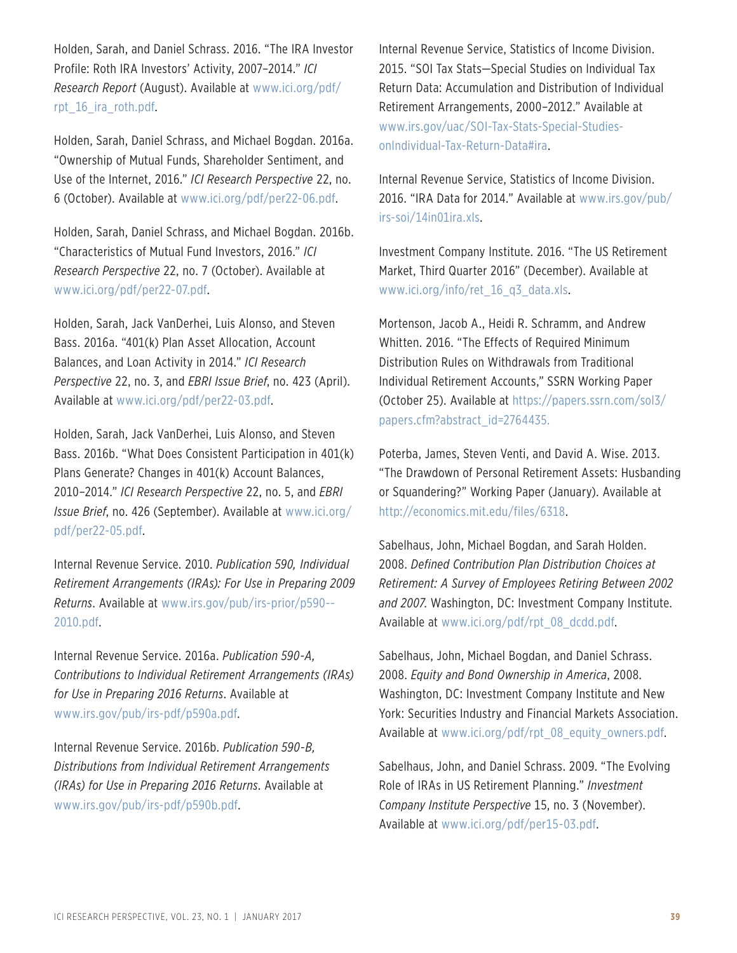Holden, Sarah, and Daniel Schrass. 2016. "The IRA Investor Profile: Roth IRA Investors' Activity, 2007–2014." *ICI Research Report* (August). Available at www.ici.org/pdf/ rpt\_16\_ira\_roth.pdf.

Holden, Sarah, Daniel Schrass, and Michael Bogdan. 2016a. "Ownership of Mutual Funds, Shareholder Sentiment, and Use of the Internet, 2016." *ICI Research Perspective* 22, no. 6 (October). Available at www.ici.org/pdf/per22-06.pdf.

Holden, Sarah, Daniel Schrass, and Michael Bogdan. 2016b. "Characteristics of Mutual Fund Investors, 2016." *ICI Research Perspective* 22, no. 7 (October). Available at www.ici.org/pdf/per22-07.pdf.

Holden, Sarah, Jack VanDerhei, Luis Alonso, and Steven Bass. 2016a. "401(k) Plan Asset Allocation, Account Balances, and Loan Activity in 2014." *ICI Research Perspective* 22, no. 3, and *EBRI Issue Brief*, no. 423 (April). Available at www.ici.org/pdf/per22-03.pdf.

Holden, Sarah, Jack VanDerhei, Luis Alonso, and Steven Bass. 2016b. "What Does Consistent Participation in 401(k) Plans Generate? Changes in 401(k) Account Balances, 2010–2014." *ICI Research Perspective* 22, no. 5, and *EBRI Issue Brief*, no. 426 (September). Available at www.ici.org/ pdf/per22-05.pdf.

Internal Revenue Service. 2010. *Publication 590, Individual Retirement Arrangements (IRAs): For Use in Preparing 2009 Returns*. Available at www.irs.gov/pub/irs-prior/p590-- 2010.pdf.

Internal Revenue Service. 2016a. *Publication 590-A, Contributions to Individual Retirement Arrangements (IRAs) for Use in Preparing 2016 Returns*. Available at www.irs.gov/pub/irs-pdf/p590a.pdf.

Internal Revenue Service. 2016b. *Publication 590-B, Distributions from Individual Retirement Arrangements (IRAs) for Use in Preparing 2016 Returns*. Available at www.irs.gov/pub/irs-pdf/p590b.pdf.

Internal Revenue Service, Statistics of Income Division. 2015. "SOI Tax Stats—Special Studies on Individual Tax Return Data: Accumulation and Distribution of Individual Retirement Arrangements, 2000–2012." Available at www.irs.gov/uac/SOI-Tax-Stats-Special-StudiesonIndividual-Tax-Return-Data#ira.

Internal Revenue Service, Statistics of Income Division. 2016. "IRA Data for 2014." Available at www.irs.gov/pub/ irs-soi/14in01ira.xls.

Investment Company Institute. 2016. "The US Retirement Market, Third Quarter 2016" (December). Available at www.ici.org/info/ret\_16\_q3\_data.xls.

Mortenson, Jacob A., Heidi R. Schramm, and Andrew Whitten. 2016. "The Effects of Required Minimum Distribution Rules on Withdrawals from Traditional Individual Retirement Accounts," SSRN Working Paper (October 25). Available at https://papers.ssrn.com/sol3/ papers.cfm?abstract\_id=2764435.

Poterba, James, Steven Venti, and David A. Wise. 2013. "The Drawdown of Personal Retirement Assets: Husbanding or Squandering?" Working Paper (January). Available at http://economics.mit.edu/files/6318.

Sabelhaus, John, Michael Bogdan, and Sarah Holden. 2008. *Defined Contribution Plan Distribution Choices at Retirement: A Survey of Employees Retiring Between 2002 and 2007*. Washington, DC: Investment Company Institute. Available at www.ici.org/pdf/rpt\_08\_dcdd.pdf.

Sabelhaus, John, Michael Bogdan, and Daniel Schrass. 2008. *Equity and Bond Ownership in America*, 2008. Washington, DC: Investment Company Institute and New York: Securities Industry and Financial Markets Association. Available at www.ici.org/pdf/rpt\_08\_equity\_owners.pdf.

Sabelhaus, John, and Daniel Schrass. 2009. "The Evolving Role of IRAs in US Retirement Planning." *Investment Company Institute Perspective* 15, no. 3 (November). Available at www.ici.org/pdf/per15-03.pdf.